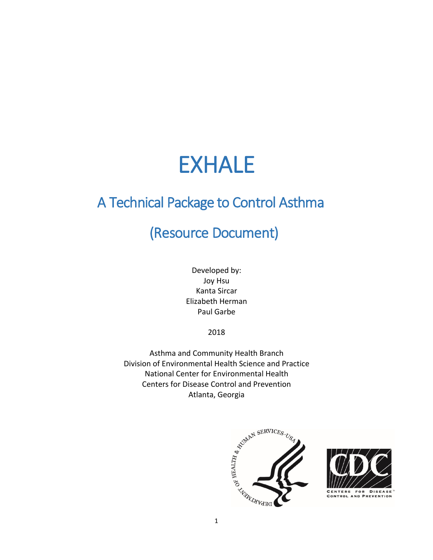# EXHALE

## A Technical Package to Control Asthma

## (Resource Document)

Developed by: Joy Hsu Kanta Sircar Elizabeth Herman Paul Garbe

2018

Asthma and Community Health Branch Division of Environmental Health Science and Practice National Center for Environmental Health Centers for Disease Control and Prevention Atlanta, Georgia





**CENTERS CONTROL AND PREVENTION**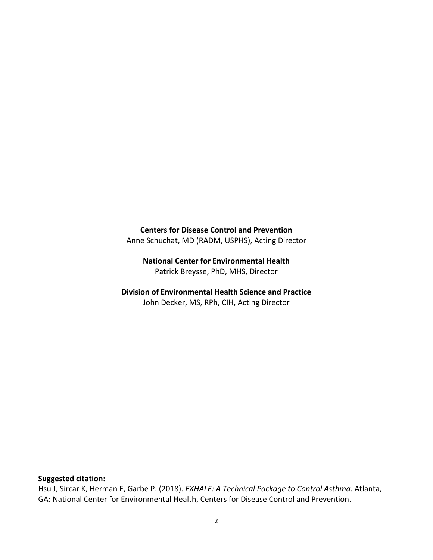**Centers for Disease Control and Prevention**  Anne Schuchat, MD (RADM, USPHS), Acting Director

**National Center for Environmental Health**  Patrick Breysse, PhD, MHS, Director

**Division of Environmental Health Science and Practice** John Decker, MS, RPh, CIH, Acting Director

#### **Suggested citation:**

Hsu J, Sircar K, Herman E, Garbe P. (2018). *EXHALE: A Technical Package to Control Asthma*. Atlanta, GA: National Center for Environmental Health, Centers for Disease Control and Prevention.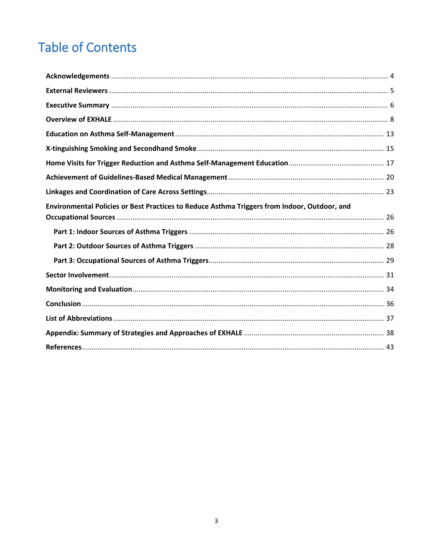## **Table of Contents**

| Environmental Policies or Best Practices to Reduce Asthma Triggers from Indoor, Outdoor, and |  |
|----------------------------------------------------------------------------------------------|--|
|                                                                                              |  |
|                                                                                              |  |
|                                                                                              |  |
|                                                                                              |  |
|                                                                                              |  |
|                                                                                              |  |
|                                                                                              |  |
|                                                                                              |  |
|                                                                                              |  |
|                                                                                              |  |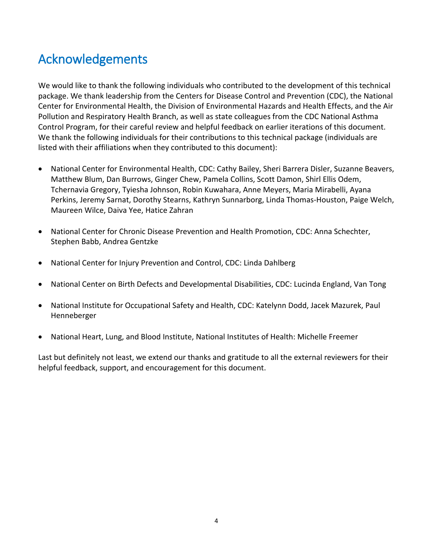## <span id="page-3-0"></span>Acknowledgements

We would like to thank the following individuals who contributed to the development of this technical package. We thank leadership from the Centers for Disease Control and Prevention (CDC), the National Center for Environmental Health, the Division of Environmental Hazards and Health Effects, and the Air Pollution and Respiratory Health Branch, as well as state colleagues from the CDC National Asthma Control Program, for their careful review and helpful feedback on earlier iterations of this document. We thank the following individuals for their contributions to this technical package (individuals are listed with their affiliations when they contributed to this document):

- National Center for Environmental Health, CDC: Cathy Bailey, Sheri Barrera Disler, Suzanne Beavers, Matthew Blum, Dan Burrows, Ginger Chew, Pamela Collins, Scott Damon, Shirl Ellis Odem, Tchernavia Gregory, Tyiesha Johnson, Robin Kuwahara, Anne Meyers, Maria Mirabelli, Ayana Perkins, Jeremy Sarnat, Dorothy Stearns, Kathryn Sunnarborg, Linda Thomas-Houston, Paige Welch, Maureen Wilce, Daiva Yee, Hatice Zahran
- National Center for Chronic Disease Prevention and Health Promotion, CDC: Anna Schechter, Stephen Babb, Andrea Gentzke
- National Center for Injury Prevention and Control, CDC: Linda Dahlberg
- National Center on Birth Defects and Developmental Disabilities, CDC: Lucinda England, Van Tong
- National Institute for Occupational Safety and Health, CDC: Katelynn Dodd, Jacek Mazurek, Paul Henneberger
- National Heart, Lung, and Blood Institute, National Institutes of Health: Michelle Freemer

Last but definitely not least, we extend our thanks and gratitude to all the external reviewers for their helpful feedback, support, and encouragement for this document.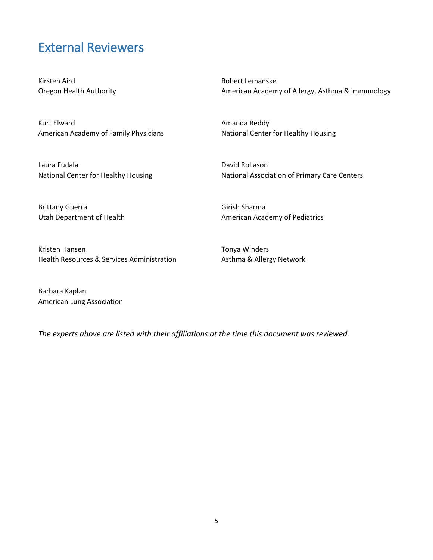### <span id="page-4-0"></span>External Reviewers

Kirsten Aird Oregon Health Authority

Kurt Elward American Academy of Family Physicians

Laura Fudala National Center for Healthy Housing Robert Lemanske American Academy of Allergy, Asthma & Immunology

Amanda Reddy National Center for Healthy Housing

David Rollason National Association of Primary Care Centers

Brittany Guerra Utah Department of Health

Kristen Hansen Health Resources & Services Administration

American Academy of Pediatrics

Tonya Winders Asthma & Allergy Network

Girish Sharma

Barbara Kaplan American Lung Association

*The experts above are listed with their affiliations at the time this document was reviewed.*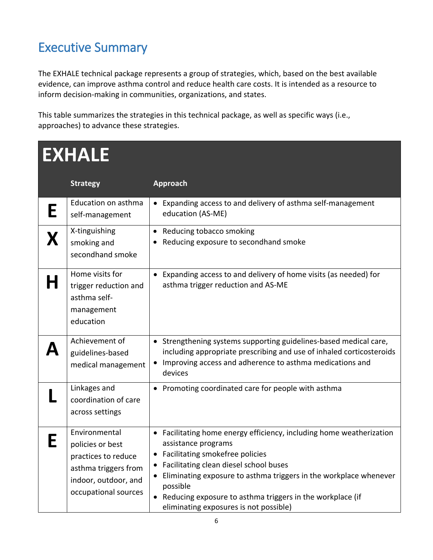## <span id="page-5-0"></span>Executive Summary

The EXHALE technical package represents a group of strategies, which, based on the best available evidence, can improve asthma control and reduce health care costs. It is intended as a resource to inform decision-making in communities, organizations, and states.

This table summarizes the strategies in this technical package, as well as specific ways (i.e., approaches) to advance these strategies.

| <b>EXHALE</b> |                                                                                                                                  |                                                                                                                                                                                                                                                                                                                                                                                 |  |  |
|---------------|----------------------------------------------------------------------------------------------------------------------------------|---------------------------------------------------------------------------------------------------------------------------------------------------------------------------------------------------------------------------------------------------------------------------------------------------------------------------------------------------------------------------------|--|--|
|               | <b>Strategy</b>                                                                                                                  | <b>Approach</b>                                                                                                                                                                                                                                                                                                                                                                 |  |  |
|               | Education on asthma<br>self-management                                                                                           | • Expanding access to and delivery of asthma self-management<br>education (AS-ME)                                                                                                                                                                                                                                                                                               |  |  |
|               | X-tinguishing<br>smoking and<br>secondhand smoke                                                                                 | • Reducing tobacco smoking<br>Reducing exposure to secondhand smoke                                                                                                                                                                                                                                                                                                             |  |  |
|               | Home visits for<br>trigger reduction and<br>asthma self-<br>management<br>education                                              | Expanding access to and delivery of home visits (as needed) for<br>asthma trigger reduction and AS-ME                                                                                                                                                                                                                                                                           |  |  |
|               | Achievement of<br>guidelines-based<br>medical management                                                                         | • Strengthening systems supporting guidelines-based medical care,<br>including appropriate prescribing and use of inhaled corticosteroids<br>Improving access and adherence to asthma medications and<br>$\bullet$<br>devices                                                                                                                                                   |  |  |
|               | Linkages and<br>coordination of care<br>across settings                                                                          | • Promoting coordinated care for people with asthma                                                                                                                                                                                                                                                                                                                             |  |  |
|               | Environmental<br>policies or best<br>practices to reduce<br>asthma triggers from<br>indoor, outdoor, and<br>occupational sources | Facilitating home energy efficiency, including home weatherization<br>assistance programs<br>Facilitating smokefree policies<br>$\bullet$<br>• Facilitating clean diesel school buses<br>Eliminating exposure to asthma triggers in the workplace whenever<br>possible<br>• Reducing exposure to asthma triggers in the workplace (if<br>eliminating exposures is not possible) |  |  |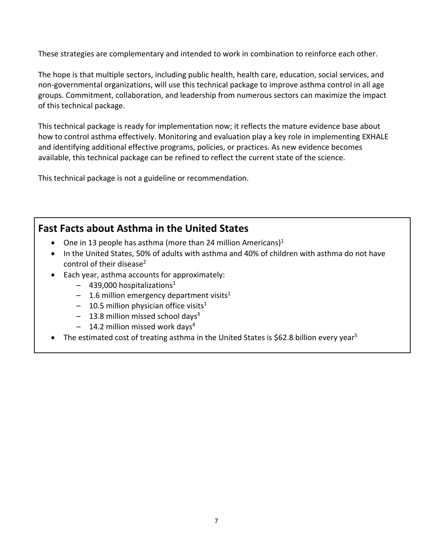These strategies are complementary and intended to work in combination to reinforce each other.

The hope is that multiple sectors, including public health, health care, education, social services, and non-governmental organizations, will use this technical package to improve asthma control in all age groups. Commitment, collaboration, and leadership from numerous sectors can maximize the impact of this technical package.

This technical package is ready for implementation now; it reflects the mature evidence base about how to control asthma effectively. Monitoring and evaluation play a key role in implementing EXHALE and identifying additional effective programs, policies, or practices. As new evidence becomes available, this technical package can be refined to reflect the current state of the science.

This technical package is not a guideline or recommendation.

### **Fast Facts about Asthma in the United States**

- One in 13 people has asthma (more than 24 million Americans)<sup>1</sup>
- In the United States, 50% of adults with asthma and 40% of children with asthma do not have control of their disease<sup>2</sup>
- Each year, asthma accounts for approximately:
	- $-$  439,000 hospitalizations<sup>1</sup>
	- $-$  1.6 million emergency department visits<sup>1</sup>
	- $-$  10.5 million physician office visits<sup>1</sup>
	- $-$  13.8 million missed school days<sup>3</sup>
	- $-$  14.2 million missed work days<sup>4</sup>
- The estimated cost of treating asthma in the United States is \$62.8 billion every year<sup>5</sup>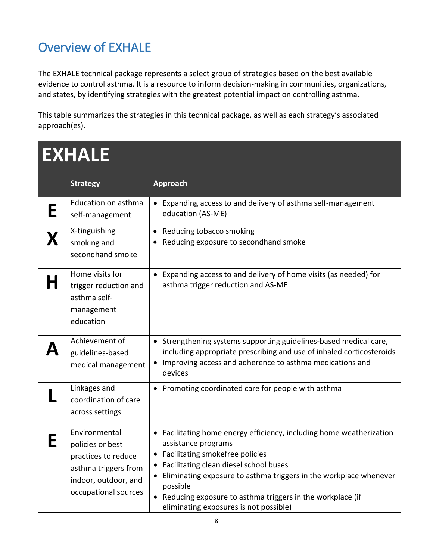## <span id="page-7-0"></span>Overview of EXHALE

The EXHALE technical package represents a select group of strategies based on the best available evidence to control asthma. It is a resource to inform decision-making in communities, organizations, and states, by identifying strategies with the greatest potential impact on controlling asthma.

This table summarizes the strategies in this technical package, as well as each strategy's associated approach(es).

#### **EXHALE Strategy Approach E** Education on asthma self-management • Expanding access to and delivery of asthma self-management education (AS-ME)  $\mathbf{X} \mid$ <sup>X-tinguishing</sup> secondhand smoke • Reducing tobacco smoking • Reducing exposure to secondhand smoke **H**  $\left| \begin{array}{c} \text{Home visits for} \\ \text{trigger reduction and} \end{array} \right.$ asthma selfmanagement education • Expanding access to and delivery of home visits (as needed) for asthma trigger reduction and AS-ME  $\mathbf{A}$   $\left| \begin{array}{l}\text{Achievement of}\text{guidelines-based}\end{array}\right|$ medical management • Strengthening systems supporting guidelines-based medical care, including appropriate prescribing and use of inhaled corticosteroids • Improving access and adherence to asthma medications and devices **L** coordination coordination of care across settings • Promoting coordinated care for people with asthma E | Environmental<br>
policies or best practices to reduce asthma triggers from indoor, outdoor, and occupational sources • Facilitating home energy efficiency, including home weatherization assistance programs • Facilitating smokefree policies • Facilitating clean diesel school buses • Eliminating exposure to asthma triggers in the workplace whenever possible • Reducing exposure to asthma triggers in the workplace (if eliminating exposures is not possible)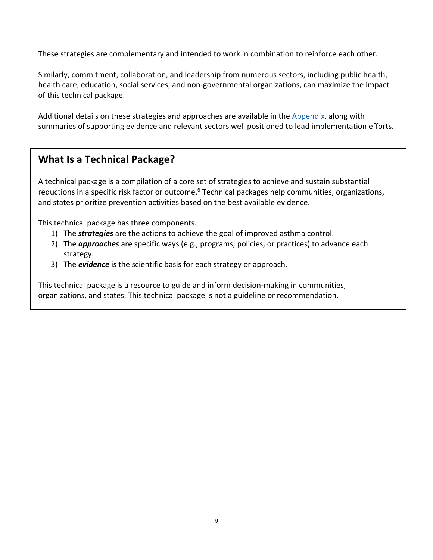These strategies are complementary and intended to work in combination to reinforce each other.

Similarly, commitment, collaboration, and leadership from numerous sectors, including public health, health care, education, social services, and non-governmental organizations, can maximize the impact of this technical package.

Additional details on these strategies and approaches are available in the Appendix, along with summaries of supporting evidence and relevant sectors well positioned to lead implementation efforts.

### **What Is a Technical Package?**

A technical package is a compilation of a core set of strategies to achieve and sustain substantial reductions in a specific risk factor or outcome.<sup>6</sup> Technical packages help communities, organizations, and states prioritize prevention activities based on the best available evidence.

This technical package has three components.

- 1) The *strategies* are the actions to achieve the goal of improved asthma control.
- 2) The *approaches* are specific ways (e.g., programs, policies, or practices) to advance each strategy.
- 3) The *evidence* is the scientific basis for each strategy or approach.

This technical package is a resource to guide and inform decision-making in communities, organizations, and states. This technical package is not a guideline or recommendation.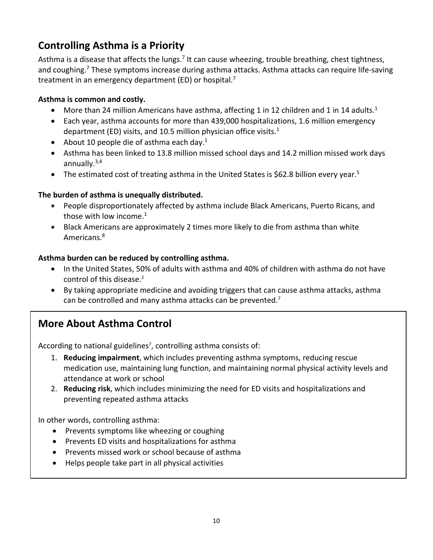### **Controlling Asthma is a Priority**

Asthma is a disease that affects the lungs.<sup>7</sup> It can cause wheezing, trouble breathing, chest tightness, and coughing.<sup>7</sup> These symptoms increase during asthma attacks. Asthma attacks can require life-saving treatment in an emergency department (ED) or hospital.<sup>7</sup>

### **Asthma is common and costly.**

- More than 24 million Americans have asthma, affecting 1 in 12 children and 1 in 14 adults.<sup>1</sup>
- Each year, asthma accounts for more than 439,000 hospitalizations, 1.6 million emergency department (ED) visits, and 10.5 million physician office visits.1
- About 10 people die of asthma each day. $1$
- Asthma has been linked to 13.8 million missed school days and 14.2 million missed work days annually.3,4
- The estimated cost of treating asthma in the United States is \$62.8 billion every year.<sup>5</sup>

#### **The burden of asthma is unequally distributed.**

- People disproportionately affected by asthma include Black Americans, Puerto Ricans, and those with low income.<sup>1</sup>
- Black Americans are approximately 2 times more likely to die from asthma than white Americans.<sup>8</sup>

#### **Asthma burden can be reduced by controlling asthma.**

- In the United States, 50% of adults with asthma and 40% of children with asthma do not have control of this disease. 2
- By taking appropriate medicine and avoiding triggers that can cause asthma attacks, asthma can be controlled and many asthma attacks can be prevented.<sup>7</sup>

### **More About Asthma Control**

According to national guidelines<sup>7</sup>, controlling asthma consists of:

- 1. **Reducing impairment**, which includes preventing asthma symptoms, reducing rescue medication use, maintaining lung function, and maintaining normal physical activity levels and attendance at work or school
- 2. **Reducing risk**, which includes minimizing the need for ED visits and hospitalizations and preventing repeated asthma attacks

In other words, controlling asthma:

- Prevents symptoms like wheezing or coughing
- Prevents ED visits and hospitalizations for asthma
- Prevents missed work or school because of asthma
- Helps people take part in all physical activities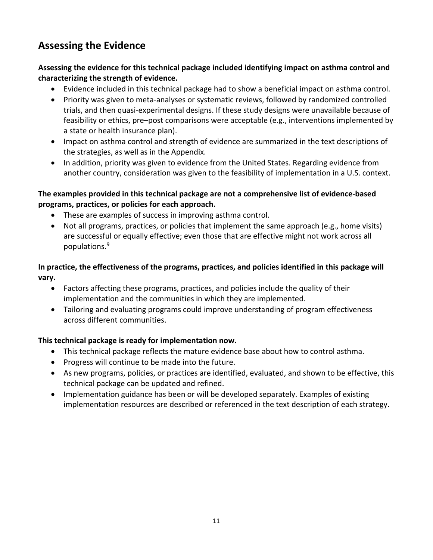### **Assessing the Evidence**

#### **Assessing the evidence for this technical package included identifying impact on asthma control and characterizing the strength of evidence.**

- Evidence included in this technical package had to show a beneficial impact on asthma control.
- Priority was given to meta-analyses or systematic reviews, followed by randomized controlled trials, and then quasi-experimental designs. If these study designs were unavailable because of feasibility or ethics, pre–post comparisons were acceptable (e.g., interventions implemented by a state or health insurance plan).
- Impact on asthma control and strength of evidence are summarized in the text descriptions of the strategies, as well as in the Appendix.
- In addition, priority was given to evidence from the United States. Regarding evidence from another country, consideration was given to the feasibility of implementation in a U.S. context.

#### **The examples provided in this technical package are not a comprehensive list of evidence-based programs, practices, or policies for each approach.**

- These are examples of success in improving asthma control.
- Not all programs, practices, or policies that implement the same approach (e.g., home visits) are successful or equally effective; even those that are effective might not work across all populations.9

### **In practice, the effectiveness of the programs, practices, and policies identified in this package will vary.**

- Factors affecting these programs, practices, and policies include the quality of their implementation and the communities in which they are implemented.
- Tailoring and evaluating programs could improve understanding of program effectiveness across different communities.

#### **This technical package is ready for implementation now.**

- This technical package reflects the mature evidence base about how to control asthma.
- Progress will continue to be made into the future.
- As new programs, policies, or practices are identified, evaluated, and shown to be effective, this technical package can be updated and refined.
- Implementation guidance has been or will be developed separately. Examples of existing implementation resources are described or referenced in the text description of each strategy.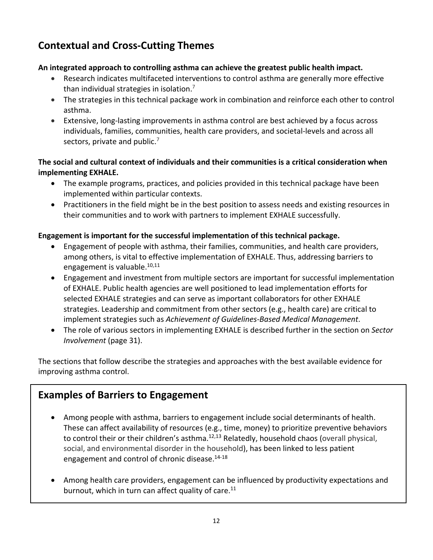### **Contextual and Cross-Cutting Themes**

### **An integrated approach to controlling asthma can achieve the greatest public health impact.**

- Research indicates multifaceted interventions to control asthma are generally more effective than individual strategies in isolation.7
- The strategies in this technical package work in combination and reinforce each other to control asthma.
- Extensive, long-lasting improvements in asthma control are best achieved by a focus across individuals, families, communities, health care providers, and societal-levels and across all sectors, private and public.<sup>7</sup>

### **The social and cultural context of individuals and their communities is a critical consideration when implementing EXHALE.**

- The example programs, practices, and policies provided in this technical package have been implemented within particular contexts.
- Practitioners in the field might be in the best position to assess needs and existing resources in their communities and to work with partners to implement EXHALE successfully.

### **Engagement is important for the successful implementation of this technical package.**

- Engagement of people with asthma, their families, communities, and health care providers, among others, is vital to effective implementation of EXHALE. Thus, addressing barriers to engagement is valuable. $10,11$
- Engagement and investment from multiple sectors are important for successful implementation of EXHALE. Public health agencies are well positioned to lead implementation efforts for selected EXHALE strategies and can serve as important collaborators for other EXHALE strategies. Leadership and commitment from other sectors (e.g., health care) are critical to implement strategies such as *Achievement of Guidelines-Based Medical Management*.
- The role of various sectors in implementing EXHALE is described further in the section on *Sector Involvement* (page 31).

The sections that follow describe the strategies and approaches with the best available evidence for improving asthma control.

### **Examples of Barriers to Engagement**

- Among people with asthma, barriers to engagement include social determinants of health. These can affect availability of resources (e.g., time, money) to prioritize preventive behaviors to control their or their children's asthma.<sup>12,13</sup> Relatedly, household chaos (overall physical, social, and environmental disorder in the household), has been linked to less patient engagement and control of chronic disease.14-18
- Among health care providers, engagement can be influenced by productivity expectations and burnout, which in turn can affect quality of care.<sup>11</sup>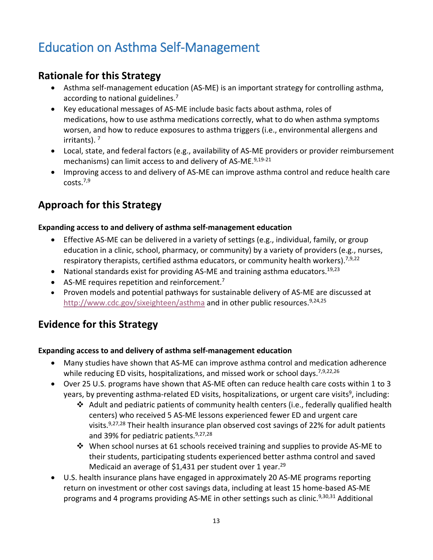## <span id="page-12-0"></span>Education on Asthma Self-Management

### **Rationale for this Strategy**

- Asthma self-management education (AS-ME) is an important strategy for controlling asthma, according to national guidelines.<sup>7</sup>
- Key educational messages of AS-ME include basic facts about asthma, roles of medications, how to use asthma medications correctly, what to do when asthma symptoms worsen, and how to reduce exposures to asthma triggers (i.e., environmental allergens and irritants). <sup>7</sup>
- Local, state, and federal factors (e.g., availability of AS-ME providers or provider reimbursement mechanisms) can limit access to and delivery of AS-ME.<sup>9,19-21</sup>
- Improving access to and delivery of AS-ME can improve asthma control and reduce health care costs.7,9

### **Approach for this Strategy**

#### **Expanding access to and delivery of asthma self-management education**

- Effective AS-ME can be delivered in a variety of settings (e.g., individual, family, or group education in a clinic, school, pharmacy, or community) by a variety of providers (e.g., nurses, respiratory therapists, certified asthma educators, or community health workers).<sup>7,9,22</sup>
- National standards exist for providing AS-ME and training asthma educators.<sup>19,23</sup>
- AS-ME requires repetition and reinforcement.<sup>7</sup>
- Proven models and potential pathways for sustainable delivery of AS-ME are discussed at <http://www.cdc.gov/sixeighteen/asthma> and in other public resources.<sup>9,24,25</sup>

### **Evidence for this Strategy**

#### **Expanding access to and delivery of asthma self-management education**

- Many studies have shown that AS-ME can improve asthma control and medication adherence while reducing ED visits, hospitalizations, and missed work or school days.<sup>7,9,22,26</sup>
- Over 25 U.S. programs have shown that AS-ME often can reduce health care costs within 1 to 3 years, by preventing asthma-related ED visits, hospitalizations, or urgent care visits<sup>9</sup>, including:
	- Adult and pediatric patients of community health centers (i.e., federally qualified health centers) who received 5 AS-ME lessons experienced fewer ED and urgent care visits.<sup>9,27,28</sup> Their health insurance plan observed cost savings of 22% for adult patients and 39% for pediatric patients.<sup>9,27,28</sup>
	- $\div$  When school nurses at 61 schools received training and supplies to provide AS-ME to their students, participating students experienced better asthma control and saved Medicaid an average of \$1,431 per student over 1 year.<sup>29</sup>
- U.S. health insurance plans have engaged in approximately 20 AS-ME programs reporting return on investment or other cost savings data, including at least 15 home-based AS-ME programs and 4 programs providing AS-ME in other settings such as clinic.<sup>9,30,31</sup> Additional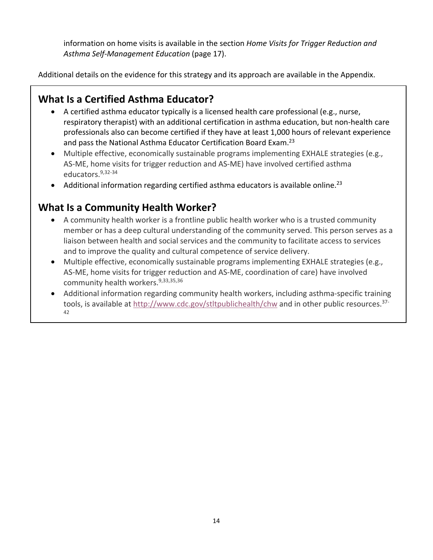information on home visits is available in the section *Home Visits for Trigger Reduction and Asthma Self-Management Education* (page 17).

Additional details on the evidence for this strategy and its approach are available in the Appendix.

### **What Is a Certified Asthma Educator?**

- A certified asthma educator typically is a licensed health care professional (e.g., nurse, respiratory therapist) with an additional certification in asthma education, but non-health care professionals also can become certified if they have at least 1,000 hours of relevant experience and pass the National Asthma Educator Certification Board Exam.<sup>23</sup>
- Multiple effective, economically sustainable programs implementing EXHALE strategies (e.g., AS-ME, home visits for trigger reduction and AS-ME) have involved certified asthma educators. 9,32-34
- Additional information regarding certified asthma educators is available online.<sup>23</sup>

### **What Is a Community Health Worker?**

- A community health worker is a frontline public health worker who is a trusted community member or has a deep cultural understanding of the community served. This person serves as a liaison between health and social services and the community to facilitate access to services and to improve the quality and cultural competence of service delivery.
- Multiple effective, economically sustainable programs implementing EXHALE strategies (e.g., AS-ME, home visits for trigger reduction and AS-ME, coordination of care) have involved community health workers.9,33,35,36
- Additional information regarding community health workers, including asthma-specific training tools, is available at<http://www.cdc.gov/stltpublichealth/chw> and in other public resources.37- 42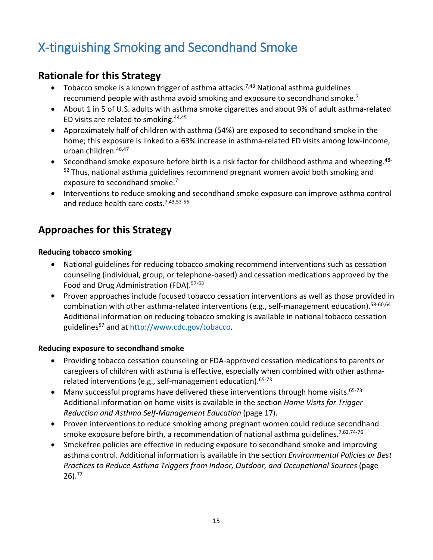## <span id="page-14-0"></span>X-tinguishing Smoking and Secondhand Smoke

### **Rationale for this Strategy**

- Tobacco smoke is a known trigger of asthma attacks.<sup>7,43</sup> National asthma guidelines recommend people with asthma avoid smoking and exposure to secondhand smoke.7
- About 1 in 5 of U.S. adults with asthma smoke cigarettes and about 9% of adult asthma-related ED visits are related to smoking.  $44,45$
- Approximately half of children with asthma (54%) are exposed to secondhand smoke in the home; this exposure is linked to a 63% increase in asthma-related ED visits among low-income, urban children.46,47
- Secondhand smoke exposure before birth is a risk factor for childhood asthma and wheezing.<sup>48-</sup> <sup>52</sup> Thus, national asthma guidelines recommend pregnant women avoid both smoking and exposure to secondhand smoke.<sup>7</sup>
- Interventions to reduce smoking and secondhand smoke exposure can improve asthma control and reduce health care costs.<sup>7,43,53-56</sup>

### **Approaches for this Strategy**

#### **Reducing tobacco smoking**

- National guidelines for reducing tobacco smoking recommend interventions such as cessation counseling (individual, group, or telephone-based) and cessation medications approved by the Food and Drug Administration (FDA). 57-63
- Proven approaches include focused tobacco cessation interventions as well as those provided in combination with other asthma-related interventions (e.g., self-management education).<sup>58-60,64</sup> Additional information on reducing tobacco smoking is available in national tobacco cessation guidelines<sup>57</sup> and at [http://www.cdc.gov/tobacco.](http://www.cdc.gov/tobacco)

#### **Reducing exposure to secondhand smoke**

- Providing tobacco cessation counseling or FDA-approved cessation medications to parents or caregivers of children with asthma is effective, especially when combined with other asthmarelated interventions (e.g., self-management education).  $65-73$
- Many successful programs have delivered these interventions through home visits.  $65-73$ Additional information on home visits is available in the section *Home Visits for Trigger Reduction and Asthma Self-Management Education* (page 17).
- Proven interventions to reduce smoking among pregnant women could reduce secondhand smoke exposure before birth, a recommendation of national asthma guidelines.<sup>7,62,74-76</sup>
- Smokefree policies are effective in reducing exposure to secondhand smoke and improving asthma control. Additional information is available in the section *Environmental Policies or Best Practices to Reduce Asthma Triggers from Indoor, Outdoor, and Occupational Sources* (page 26).77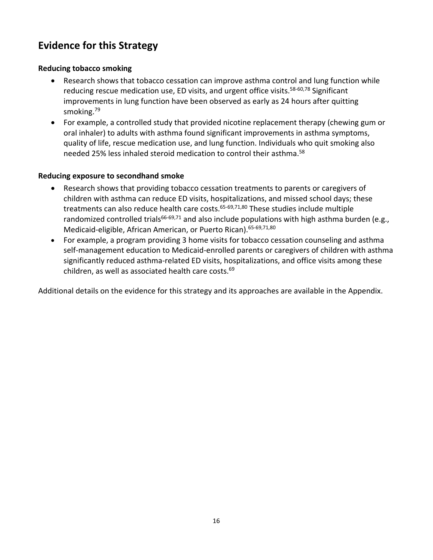### **Evidence for this Strategy**

#### **Reducing tobacco smoking**

- Research shows that tobacco cessation can improve asthma control and lung function while reducing rescue medication use, ED visits, and urgent office visits.<sup>58-60,78</sup> Significant improvements in lung function have been observed as early as 24 hours after quitting smoking.79
- For example, a controlled study that provided nicotine replacement therapy (chewing gum or oral inhaler) to adults with asthma found significant improvements in asthma symptoms, quality of life, rescue medication use, and lung function. Individuals who quit smoking also needed 25% less inhaled steroid medication to control their asthma.58

#### **Reducing exposure to secondhand smoke**

- Research shows that providing tobacco cessation treatments to parents or caregivers of children with asthma can reduce ED visits, hospitalizations, and missed school days; these treatments can also reduce health care costs.<sup>65-69,71,80</sup> These studies include multiple randomized controlled trials<sup>66-69,71</sup> and also include populations with high asthma burden (e.g., Medicaid-eligible, African American, or Puerto Rican). 65-69,71,80
- For example, a program providing 3 home visits for tobacco cessation counseling and asthma self-management education to Medicaid-enrolled parents or caregivers of children with asthma significantly reduced asthma-related ED visits, hospitalizations, and office visits among these children, as well as associated health care costs.<sup>69</sup>

Additional details on the evidence for this strategy and its approaches are available in the Appendix.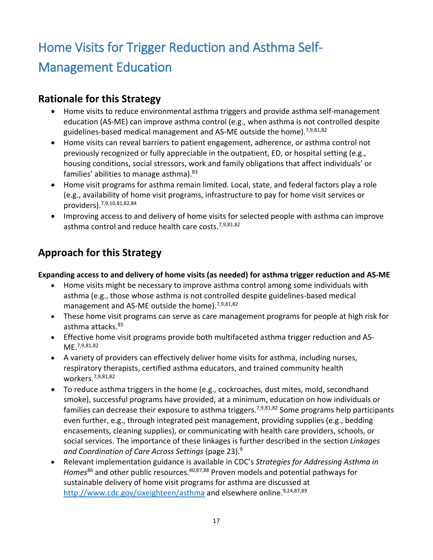## <span id="page-16-0"></span>Home Visits for Trigger Reduction and Asthma Self-Management Education

### **Rationale for this Strategy**

- Home visits to reduce environmental asthma triggers and provide asthma self-management education (AS-ME) can improve asthma control (e.g., when asthma is not controlled despite guidelines-based medical management and AS-ME outside the home).<sup>7,9,81,82</sup>
- Home visits can reveal barriers to patient engagement, adherence, or asthma control not previously recognized or fully appreciable in the outpatient, ED, or hospital setting (e.g., housing conditions, social stressors, work and family obligations that affect individuals' or families' abilities to manage asthma).  $83$
- Home visit programs for asthma remain limited. Local, state, and federal factors play a role (e.g., availability of home visit programs, infrastructure to pay for home visit services or providers).7,9,10,81,82,84
- Improving access to and delivery of home visits for selected people with asthma can improve asthma control and reduce health care costs.<sup>7,9,81,82</sup>

### **Approach for this Strategy**

**Expanding access to and delivery of home visits (as needed) for asthma trigger reduction and AS-ME** 

- Home visits might be necessary to improve asthma control among some individuals with asthma (e.g., those whose asthma is not controlled despite guidelines-based medical management and AS-ME outside the home).<sup>7,9,81,82</sup>
- These home visit programs can serve as care management programs for people at high risk for asthma attacks.85
- Effective home visit programs provide both multifaceted asthma trigger reduction and AS-ME.7,9,81,82
- A variety of providers can effectively deliver home visits for asthma, including nurses, respiratory therapists, certified asthma educators, and trained community health workers.7,9,81,82
- To reduce asthma triggers in the home (e.g., cockroaches, dust mites, mold, secondhand smoke), successful programs have provided, at a minimum, education on how individuals or families can decrease their exposure to asthma triggers.<sup>7,9,81,82</sup> Some programs help participants even further, e.g., through integrated pest management, providing supplies (e.g., bedding encasements, cleaning supplies), or communicating with health care providers, schools, or social services. The importance of these linkages is further described in the section *Linkages and Coordination of Care Across Settings* (page 23).9
- Relevant implementation guidance is available in CDC's *Strategies for Addressing Asthma in*  Homes<sup>86</sup> and other public resources.<sup>40,87,88</sup> Proven models and potential pathways for sustainable delivery of home visit programs for asthma are discussed at <http://www.cdc.gov/sixeighteen/asthma> and elsewhere online.<sup>9,24,87,89</sup>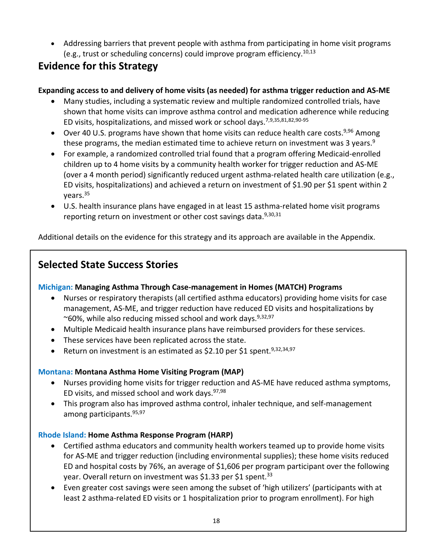• Addressing barriers that prevent people with asthma from participating in home visit programs (e.g., trust or scheduling concerns) could improve program efficiency.<sup>10,13</sup>

### **Evidence for this Strategy**

### **Expanding access to and delivery of home visits (as needed) for asthma trigger reduction and AS-ME**

- Many studies, including a systematic review and multiple randomized controlled trials, have shown that home visits can improve asthma control and medication adherence while reducing ED visits, hospitalizations, and missed work or school days.7,9,35,81,82,90-95
- Over 40 U.S. programs have shown that home visits can reduce health care costs.<sup>9,96</sup> Among these programs, the median estimated time to achieve return on investment was 3 years.<sup>9</sup>
- For example, a randomized controlled trial found that a program offering Medicaid-enrolled children up to 4 home visits by a community health worker for trigger reduction and AS-ME (over a 4 month period) significantly reduced urgent asthma-related health care utilization (e.g., ED visits, hospitalizations) and achieved a return on investment of \$1.90 per \$1 spent within 2 years.35
- U.S. health insurance plans have engaged in at least 15 asthma-related home visit programs reporting return on investment or other cost savings data.<sup>9,30,31</sup>

Additional details on the evidence for this strategy and its approach are available in the Appendix.

### **Selected State Success Stories**

#### **Michigan: Managing Asthma Through Case-management in Homes (MATCH) Programs**

- Nurses or respiratory therapists (all certified asthma educators) providing home visits for case management, AS-ME, and trigger reduction have reduced ED visits and hospitalizations by ~60%, while also reducing missed school and work days.  $9,32,97$
- Multiple Medicaid health insurance plans have reimbursed providers for these services.
- These services have been replicated across the state.
- Return on investment is an estimated as \$2.10 per \$1 spent.<sup>9,32,34,97</sup>

### **Montana: Montana Asthma Home Visiting Program (MAP)**

- Nurses providing home visits for trigger reduction and AS-ME have reduced asthma symptoms, ED visits, and missed school and work days.  $97,98$
- This program also has improved asthma control, inhaler technique, and self-management among participants. 95,97

#### **Rhode Island: Home Asthma Response Program (HARP)**

- Certified asthma educators and community health workers teamed up to provide home visits for AS-ME and trigger reduction (including environmental supplies); these home visits reduced ED and hospital costs by 76%, an average of \$1,606 per program participant over the following year. Overall return on investment was \$1.33 per \$1 spent.<sup>33</sup>
- Even greater cost savings were seen among the subset of 'high utilizers' (participants with at least 2 asthma-related ED visits or 1 hospitalization prior to program enrollment). For high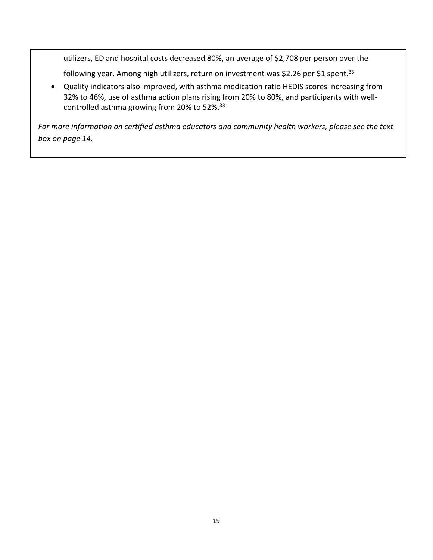utilizers, ED and hospital costs decreased 80%, an average of \$2,708 per person over the

following year. Among high utilizers, return on investment was \$2.26 per \$1 spent.<sup>33</sup>

• Quality indicators also improved, with asthma medication ratio HEDIS scores increasing from 32% to 46%, use of asthma action plans rising from 20% to 80%, and participants with wellcontrolled asthma growing from 20% to 52%.33

*For more information on certified asthma educators and community health workers, please see the text box on page 14.*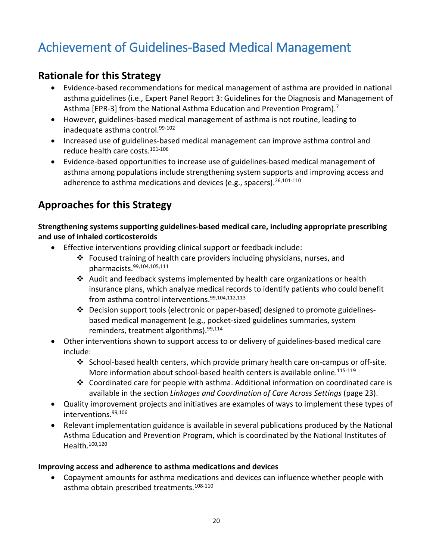## <span id="page-19-0"></span>Achievement of Guidelines-Based Medical Management

### **Rationale for this Strategy**

- Evidence-based recommendations for medical management of asthma are provided in national asthma guidelines (i.e., Expert Panel Report 3: Guidelines for the Diagnosis and Management of Asthma [EPR-3] from the National Asthma Education and Prevention Program).<sup>7</sup>
- However, guidelines-based medical management of asthma is not routine, leading to inadequate asthma control.<sup>99-102</sup>
- Increased use of guidelines-based medical management can improve asthma control and reduce health care costs.101-106
- Evidence-based opportunities to increase use of guidelines-based medical management of asthma among populations include strengthening system supports and improving access and adherence to asthma medications and devices (e.g., spacers).<sup>26,101-110</sup>

### **Approaches for this Strategy**

**Strengthening systems supporting guidelines-based medical care, including appropriate prescribing and use of inhaled corticosteroids**

- Effective interventions providing clinical support or feedback include:
	- $\div$  Focused training of health care providers including physicians, nurses, and pharmacists.99,104,105,111
	- Audit and feedback systems implemented by health care organizations or health insurance plans, which analyze medical records to identify patients who could benefit from asthma control interventions. 99,104,112,113
	- Decision support tools (electronic or paper-based) designed to promote guidelinesbased medical management (e.g., pocket-sized guidelines summaries, system reminders, treatment algorithms).<sup>99,114</sup>
- Other interventions shown to support access to or delivery of guidelines-based medical care include:
	- $\div$  School-based health centers, which provide primary health care on-campus or off-site. More information about school-based health centers is available online.<sup>115-119</sup>
	- $\div$  Coordinated care for people with asthma. Additional information on coordinated care is available in the section *Linkages and Coordination of Care Across Settings* (page 23).
- Quality improvement projects and initiatives are examples of ways to implement these types of interventions.99,106
- Relevant implementation guidance is available in several publications produced by the National Asthma Education and Prevention Program, which is coordinated by the National Institutes of Health.100,120

#### **Improving access and adherence to asthma medications and devices**

• Copayment amounts for asthma medications and devices can influence whether people with asthma obtain prescribed treatments.<sup>108-110</sup>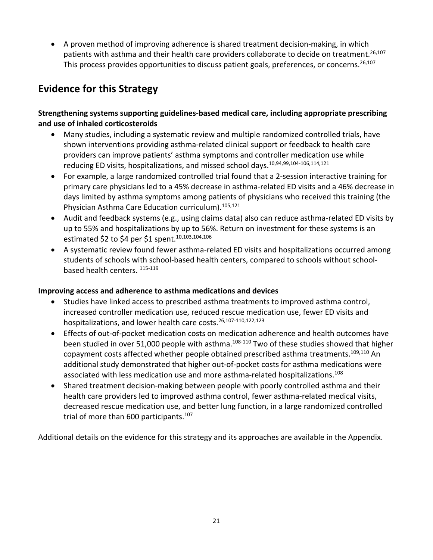• A proven method of improving adherence is shared treatment decision-making, in which patients with asthma and their health care providers collaborate to decide on treatment.<sup>26,107</sup> This process provides opportunities to discuss patient goals, preferences, or concerns.<sup>26,107</sup>

### **Evidence for this Strategy**

#### **Strengthening systems supporting guidelines-based medical care, including appropriate prescribing and use of inhaled corticosteroids**

- Many studies, including a systematic review and multiple randomized controlled trials, have shown interventions providing asthma-related clinical support or feedback to health care providers can improve patients' asthma symptoms and controller medication use while reducing ED visits, hospitalizations, and missed school days.<sup>10,94,99,104-106,114,121</sup>
- For example, a large randomized controlled trial found that a 2-session interactive training for primary care physicians led to a 45% decrease in asthma-related ED visits and a 46% decrease in days limited by asthma symptoms among patients of physicians who received this training (the Physician Asthma Care Education curriculum).<sup>105,121</sup>
- Audit and feedback systems (e.g., using claims data) also can reduce asthma-related ED visits by up to 55% and hospitalizations by up to 56%. Return on investment for these systems is an estimated \$2 to \$4 per \$1 spent.<sup>10,103,104,106</sup>
- A systematic review found fewer asthma-related ED visits and hospitalizations occurred among students of schools with school-based health centers, compared to schools without schoolbased health centers. 115-119

#### **Improving access and adherence to asthma medications and devices**

- Studies have linked access to prescribed asthma treatments to improved asthma control, increased controller medication use, reduced rescue medication use, fewer ED visits and hospitalizations, and lower health care costs.<sup>26,107-110,122,123</sup>
- Effects of out-of-pocket medication costs on medication adherence and health outcomes have been studied in over 51,000 people with asthma.<sup>108-110</sup> Two of these studies showed that higher copayment costs affected whether people obtained prescribed asthma treatments.<sup>109,110</sup> An additional study demonstrated that higher out-of-pocket costs for asthma medications were associated with less medication use and more asthma-related hospitalizations.<sup>108</sup>
- Shared treatment decision-making between people with poorly controlled asthma and their health care providers led to improved asthma control, fewer asthma-related medical visits, decreased rescue medication use, and better lung function, in a large randomized controlled trial of more than 600 participants.<sup>107</sup>

Additional details on the evidence for this strategy and its approaches are available in the Appendix.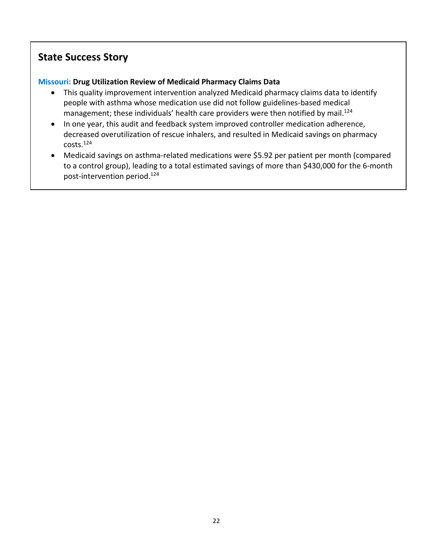### **State Success Story**

### **Missouri: Drug Utilization Review of Medicaid Pharmacy Claims Data**

- This quality improvement intervention analyzed Medicaid pharmacy claims data to identify people with asthma whose medication use did not follow guidelines-based medical management; these individuals' health care providers were then notified by mail.<sup>124</sup>
- In one year, this audit and feedback system improved controller medication adherence, decreased overutilization of rescue inhalers, and resulted in Medicaid savings on pharmacy costs.124
- Medicaid savings on asthma-related medications were \$5.92 per patient per month (compared to a control group), leading to a total estimated savings of more than \$430,000 for the 6-month post-intervention period.124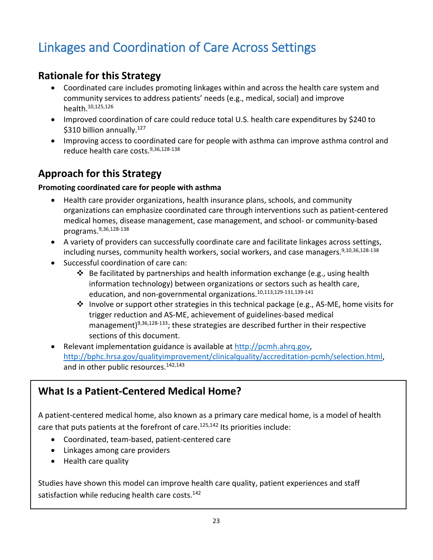## <span id="page-22-0"></span>Linkages and Coordination of Care Across Settings

### **Rationale for this Strategy**

- Coordinated care includes promoting linkages within and across the health care system and community services to address patients' needs (e.g., medical, social) and improve health.10,125,126
- Improved coordination of care could reduce total U.S. health care expenditures by \$240 to \$310 billion annually. $127$
- Improving access to coordinated care for people with asthma can improve asthma control and reduce health care costs. 9,36,128-138

### **Approach for this Strategy**

#### **Promoting coordinated care for people with asthma**

- Health care provider organizations, health insurance plans, schools, and community organizations can emphasize coordinated care through interventions such as patient-centered medical homes, disease management, case management, and school- or community-based programs.9,36,128-138
- A variety of providers can successfully coordinate care and facilitate linkages across settings, including nurses, community health workers, social workers, and case managers.<sup>9,10,36,128-138</sup>
- Successful coordination of care can:
	- $\div$  Be facilitated by partnerships and health information exchange (e.g., using health information technology) between organizations or sectors such as health care, education, and non-governmental organizations.10,113,129-131,139-141
	- ◆ Involve or support other strategies in this technical package (e.g., AS-ME, home visits for trigger reduction and AS-ME, achievement of guidelines-based medical management)<sup>9,36,128-133</sup>; these strategies are described further in their respective sections of this document.
- Relevant implementation guidance is available at [http://pcmh.ahrq.gov,](http://pcmh.ahrq.gov/) [http://bphc.hrsa.gov/qualityimprovement/clinicalquality/accreditation-pcmh/selection.html,](http://bphc.hrsa.gov/qualityimprovement/clinicalquality/accreditation-pcmh/selection.html) and in other public resources.<sup>142,143</sup>

### **What Is a Patient-Centered Medical Home?**

A patient-centered medical home, also known as a primary care medical home, is a model of health care that puts patients at the forefront of care.<sup>125,142</sup> Its priorities include:

- Coordinated, team-based, patient-centered care
- Linkages among care providers
- Health care quality

Studies have shown this model can improve health care quality, patient experiences and staff satisfaction while reducing health care costs.<sup>142</sup>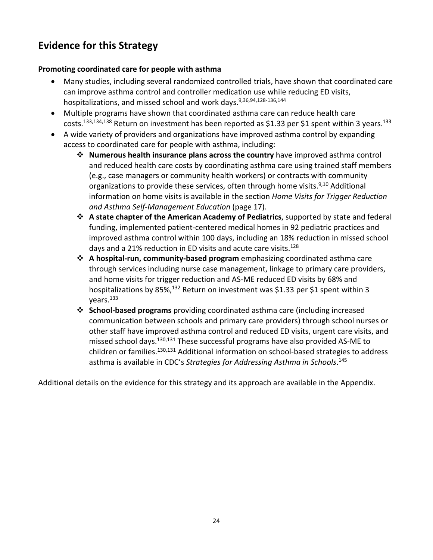### **Evidence for this Strategy**

#### **Promoting coordinated care for people with asthma**

- Many studies, including several randomized controlled trials, have shown that coordinated care can improve asthma control and controller medication use while reducing ED visits, hospitalizations, and missed school and work days.<sup>9,36,94,128-136,144</sup>
- Multiple programs have shown that coordinated asthma care can reduce health care costs.<sup>133,134,138</sup> Return on investment has been reported as \$1.33 per \$1 spent within 3 years.<sup>133</sup>
- A wide variety of providers and organizations have improved asthma control by expanding access to coordinated care for people with asthma, including:
	- **Numerous health insurance plans across the country** have improved asthma control and reduced health care costs by coordinating asthma care using trained staff members (e.g., case managers or community health workers) or contracts with community organizations to provide these services, often through home visits.<sup>9,10</sup> Additional information on home visits is available in the section *Home Visits for Trigger Reduction and Asthma Self-Management Education* (page 17).
	- **A state chapter of the American Academy of Pediatrics**, supported by state and federal funding, implemented patient-centered medical homes in 92 pediatric practices and improved asthma control within 100 days, including an 18% reduction in missed school days and a 21% reduction in ED visits and acute care visits.<sup>128</sup>
	- **A hospital-run, community-based program** emphasizing coordinated asthma care through services including nurse case management, linkage to primary care providers, and home visits for trigger reduction and AS-ME reduced ED visits by 68% and hospitalizations by 85%,<sup>132</sup> Return on investment was \$1.33 per \$1 spent within 3 years.133
	- **School-based programs** providing coordinated asthma care (including increased communication between schools and primary care providers) through school nurses or other staff have improved asthma control and reduced ED visits, urgent care visits, and missed school days.<sup>130,131</sup> These successful programs have also provided AS-ME to children or families.<sup>130,131</sup> Additional information on school-based strategies to address asthma is available in CDC's *Strategies for Addressing Asthma in Schools*. 145

Additional details on the evidence for this strategy and its approach are available in the Appendix.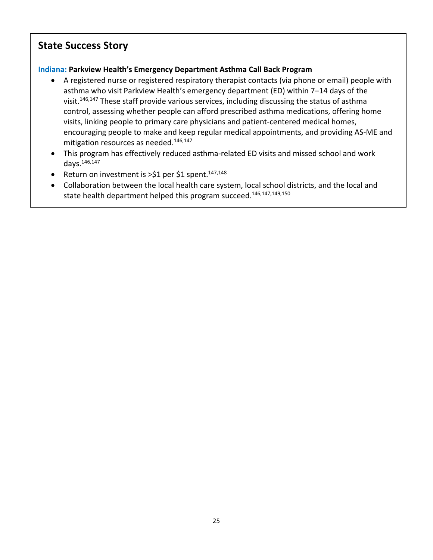### **State Success Story**

#### **Indiana: Parkview Health's Emergency Department Asthma Call Back Program**

- A registered nurse or registered respiratory therapist contacts (via phone or email) people with asthma who visit Parkview Health's emergency department (ED) within 7–14 days of the visit.<sup>146,147</sup> These staff provide various services, including discussing the status of asthma control, assessing whether people can afford prescribed asthma medications, offering home visits, linking people to primary care physicians and patient-centered medical homes, encouraging people to make and keep regular medical appointments, and providing AS-ME and mitigation resources as needed.<sup>146,147</sup>
- This program has effectively reduced asthma-related ED visits and missed school and work days.146,147
- Return on investment is >\$1 per \$1 spent.<sup>147,148</sup>
- Collaboration between the local health care system, local school districts, and the local and state health department helped this program succeed. 146,147,149,150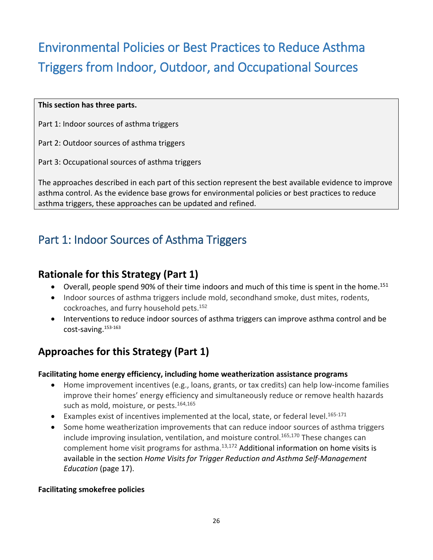## <span id="page-25-0"></span>Environmental Policies or Best Practices to Reduce Asthma Triggers from Indoor, Outdoor, and Occupational Sources

#### **This section has three parts.**

Part 1: Indoor sources of asthma triggers

Part 2: Outdoor sources of asthma triggers

Part 3: Occupational sources of asthma triggers

The approaches described in each part of this section represent the best available evidence to improve asthma control. As the evidence base grows for environmental policies or best practices to reduce asthma triggers, these approaches can be updated and refined.

## <span id="page-25-1"></span>Part 1: Indoor Sources of Asthma Triggers

### **Rationale for this Strategy (Part 1)**

- Overall, people spend 90% of their time indoors and much of this time is spent in the home.<sup>151</sup>
- Indoor sources of asthma triggers include mold, secondhand smoke, dust mites, rodents, cockroaches, and furry household pets.<sup>152</sup>
- Interventions to reduce indoor sources of asthma triggers can improve asthma control and be cost-saving.153-163

### **Approaches for this Strategy (Part 1)**

#### **Facilitating home energy efficiency, including home weatherization assistance programs**

- Home improvement incentives (e.g., loans, grants, or tax credits) can help low-income families improve their homes' energy efficiency and simultaneously reduce or remove health hazards such as mold, moisture, or pests. $164,165$
- Examples exist of incentives implemented at the local, state, or federal level.<sup>165-171</sup>
- Some home weatherization improvements that can reduce indoor sources of asthma triggers include improving insulation, ventilation, and moisture control. 165,170 These changes can complement home visit programs for asthma. $13,172$  Additional information on home visits is available in the section *Home Visits for Trigger Reduction and Asthma Self-Management Education* (page 17).

#### **Facilitating smokefree policies**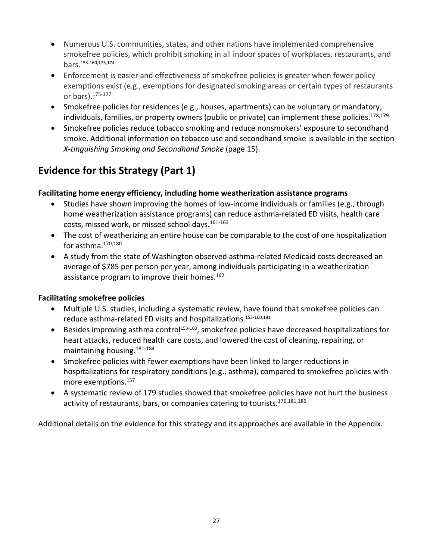- Numerous U.S. communities, states, and other nations have implemented comprehensive smokefree policies, which prohibit smoking in all indoor spaces of workplaces, restaurants, and bars.153-160,173,174
- Enforcement is easier and effectiveness of smokefree policies is greater when fewer policy exemptions exist (e.g., exemptions for designated smoking areas or certain types of restaurants or bars).175-177
- Smokefree policies for residences (e.g., houses, apartments) can be voluntary or mandatory; individuals, families, or property owners (public or private) can implement these policies. 178,179
- Smokefree policies reduce tobacco smoking and reduce nonsmokers' exposure to secondhand smoke. Additional information on tobacco use and secondhand smoke is available in the section *X-tinguishing Smoking and Secondhand Smoke* (page 15).

### **Evidence for this Strategy (Part 1)**

#### **Facilitating home energy efficiency, including home weatherization assistance programs**

- Studies have shown improving the homes of low-income individuals or families (e.g., through home weatherization assistance programs) can reduce asthma-related ED visits, health care costs, missed work, or missed school days.161-163
- The cost of weatherizing an entire house can be comparable to the cost of one hospitalization for asthma.170,180
- A study from the state of Washington observed asthma-related Medicaid costs decreased an average of \$785 per person per year, among individuals participating in a weatherization assistance program to improve their homes.<sup>162</sup>

#### **Facilitating smokefree policies**

- Multiple U.S. studies, including a systematic review, have found that smokefree policies can reduce asthma-related ED visits and hospitalizations. 153-160,181
- Besides improving asthma control<sup>153-160</sup>, smokefree policies have decreased hospitalizations for heart attacks, reduced health care costs, and lowered the cost of cleaning, repairing, or maintaining housing.181-184
- Smokefree policies with fewer exemptions have been linked to larger reductions in hospitalizations for respiratory conditions (e.g., asthma), compared to smokefree policies with more exemptions.157
- A systematic review of 179 studies showed that smokefree policies have not hurt the business activity of restaurants, bars, or companies catering to tourists.<sup>176,181,185</sup>

Additional details on the evidence for this strategy and its approaches are available in the Appendix.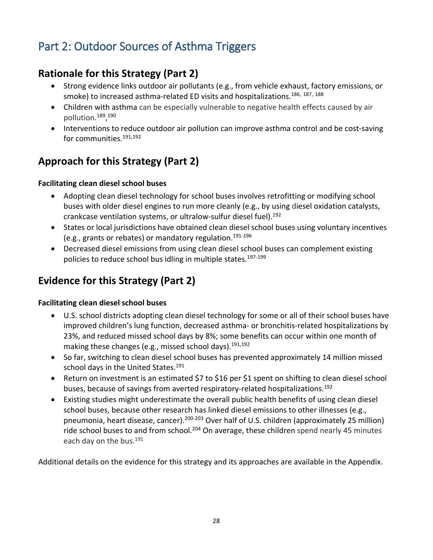## <span id="page-27-0"></span>Part 2: Outdoor Sources of Asthma Triggers

### **Rationale for this Strategy (Part 2)**

- Strong evidence links outdoor air pollutants (e.g., from vehicle exhaust, factory emissions, or smoke) to increased asthma-related ED visits and hospitalizations.<sup>186, 187, 188</sup>
- Children with asthma can be especially vulnerable to negative health effects caused by air pollution. 189, 190
- Interventions to reduce outdoor air pollution can improve asthma control and be cost-saving for communities.<sup>191,192</sup>

### **Approach for this Strategy (Part 2)**

#### **Facilitating clean diesel school buses**

- Adopting clean diesel technology for school buses involves retrofitting or modifying school buses with older diesel engines to run more cleanly (e.g., by using diesel oxidation catalysts, crankcase ventilation systems, or ultralow-sulfur diesel fuel). 192
- States or local jurisdictions have obtained clean diesel school buses using voluntary incentives (e.g., grants or rebates) or mandatory regulation.191-196
- Decreased diesel emissions from using clean diesel school buses can complement existing policies to reduce school bus idling in multiple states.<sup>197-199</sup>

### **Evidence for this Strategy (Part 2)**

### **Facilitating clean diesel school buses**

- U.S. school districts adopting clean diesel technology for some or all of their school buses have improved children's lung function, decreased asthma- or bronchitis-related hospitalizations by 23%, and reduced missed school days by 8%; some benefits can occur within one month of making these changes (e.g., missed school days). $191,192$
- So far, switching to clean diesel school buses has prevented approximately 14 million missed school days in the United States.<sup>191</sup>
- Return on investment is an estimated \$7 to \$16 per \$1 spent on shifting to clean diesel school buses, because of savings from averted respiratory-related hospitalizations. 192
- Existing studies might underestimate the overall public health benefits of using clean diesel school buses, because other research has linked diesel emissions to other illnesses (e.g., pneumonia, heart disease, cancer).<sup>200-203</sup> Over half of U.S. children (approximately 25 million) ride school buses to and from school.<sup>204</sup> On average, these children spend nearly 45 minutes each day on the bus.<sup>191</sup>

Additional details on the evidence for this strategy and its approaches are available in the Appendix.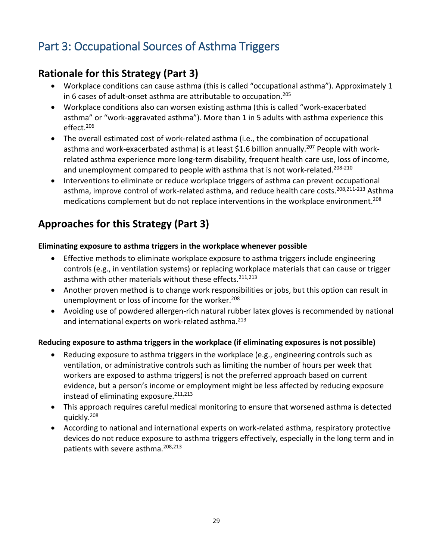## <span id="page-28-0"></span>Part 3: Occupational Sources of Asthma Triggers

### **Rationale for this Strategy (Part 3)**

- Workplace conditions can cause asthma (this is called "occupational asthma"). Approximately 1 in 6 cases of adult-onset asthma are attributable to occupation.<sup>205</sup>
- Workplace conditions also can worsen existing asthma (this is called "work-exacerbated asthma" or "work-aggravated asthma"). More than 1 in 5 adults with asthma experience this  $effect<sup>206</sup>$
- The overall estimated cost of work-related asthma (i.e., the combination of occupational asthma and work-exacerbated asthma) is at least \$1.6 billion annually.<sup>207</sup> People with workrelated asthma experience more long-term disability, frequent health care use, loss of income, and unemployment compared to people with asthma that is not work-related.<sup>208-210</sup>
- Interventions to eliminate or reduce workplace triggers of asthma can prevent occupational asthma, improve control of work-related asthma, and reduce health care costs.<sup>208,211-213</sup> Asthma medications complement but do not replace interventions in the workplace environment.<sup>208</sup>

### **Approaches for this Strategy (Part 3)**

#### **Eliminating exposure to asthma triggers in the workplace whenever possible**

- Effective methods to eliminate workplace exposure to asthma triggers include engineering controls (e.g., in ventilation systems) or replacing workplace materials that can cause or trigger asthma with other materials without these effects.<sup>211,213</sup>
- Another proven method is to change work responsibilities or jobs, but this option can result in unemployment or loss of income for the worker.<sup>208</sup>
- Avoiding use of powdered allergen-rich natural rubber latex gloves is recommended by national and international experts on work-related asthma.<sup>213</sup>

#### **Reducing exposure to asthma triggers in the workplace (if eliminating exposures is not possible)**

- Reducing exposure to asthma triggers in the workplace (e.g., engineering controls such as ventilation, or administrative controls such as limiting the number of hours per week that workers are exposed to asthma triggers) is not the preferred approach based on current evidence, but a person's income or employment might be less affected by reducing exposure instead of eliminating exposure. $211,213$
- This approach requires careful medical monitoring to ensure that worsened asthma is detected quickly.208
- According to national and international experts on work-related asthma, respiratory protective devices do not reduce exposure to asthma triggers effectively, especially in the long term and in patients with severe asthma.<sup>208,213</sup>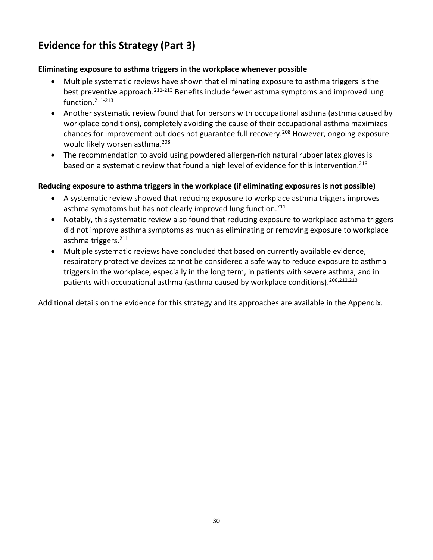### **Evidence for this Strategy (Part 3)**

#### **Eliminating exposure to asthma triggers in the workplace whenever possible**

- Multiple systematic reviews have shown that eliminating exposure to asthma triggers is the best preventive approach.<sup>211-213</sup> Benefits include fewer asthma symptoms and improved lung function.211-213
- Another systematic review found that for persons with occupational asthma (asthma caused by workplace conditions), completely avoiding the cause of their occupational asthma maximizes chances for improvement but does not guarantee full recovery. 208 However, ongoing exposure would likely worsen asthma.<sup>208</sup>
- The recommendation to avoid using powdered allergen-rich natural rubber latex gloves is based on a systematic review that found a high level of evidence for this intervention.<sup>213</sup>

#### **Reducing exposure to asthma triggers in the workplace (if eliminating exposures is not possible)**

- A systematic review showed that reducing exposure to workplace asthma triggers improves asthma symptoms but has not clearly improved lung function.<sup>211</sup>
- Notably, this systematic review also found that reducing exposure to workplace asthma triggers did not improve asthma symptoms as much as eliminating or removing exposure to workplace asthma triggers.<sup>211</sup>
- Multiple systematic reviews have concluded that based on currently available evidence, respiratory protective devices cannot be considered a safe way to reduce exposure to asthma triggers in the workplace, especially in the long term, in patients with severe asthma, and in patients with occupational asthma (asthma caused by workplace conditions).<sup>208,212,213</sup>

Additional details on the evidence for this strategy and its approaches are available in the Appendix.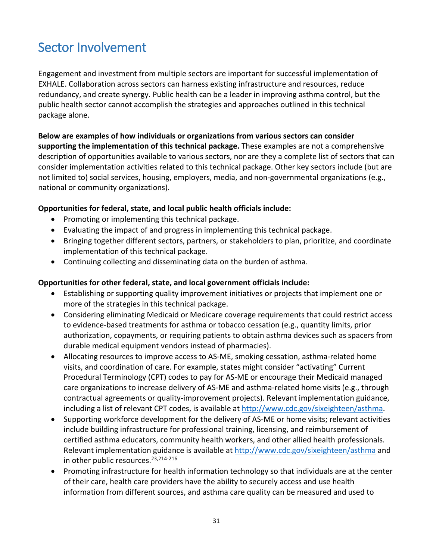## <span id="page-30-0"></span>Sector Involvement

Engagement and investment from multiple sectors are important for successful implementation of EXHALE. Collaboration across sectors can harness existing infrastructure and resources, reduce redundancy, and create synergy. Public health can be a leader in improving asthma control, but the public health sector cannot accomplish the strategies and approaches outlined in this technical package alone.

**Below are examples of how individuals or organizations from various sectors can consider supporting the implementation of this technical package.** These examples are not a comprehensive description of opportunities available to various sectors, nor are they a complete list of sectors that can consider implementation activities related to this technical package. Other key sectors include (but are not limited to) social services, housing, employers, media, and non-governmental organizations (e.g., national or community organizations).

#### **Opportunities for federal, state, and local public health officials include:**

- Promoting or implementing this technical package.
- Evaluating the impact of and progress in implementing this technical package.
- Bringing together different sectors, partners, or stakeholders to plan, prioritize, and coordinate implementation of this technical package.
- Continuing collecting and disseminating data on the burden of asthma.

#### **Opportunities for other federal, state, and local government officials include:**

- Establishing or supporting quality improvement initiatives or projects that implement one or more of the strategies in this technical package.
- Considering eliminating Medicaid or Medicare coverage requirements that could restrict access to evidence-based treatments for asthma or tobacco cessation (e.g., quantity limits, prior authorization, copayments, or requiring patients to obtain asthma devices such as spacers from durable medical equipment vendors instead of pharmacies).
- Allocating resources to improve access to AS-ME, smoking cessation, asthma-related home visits, and coordination of care. For example, states might consider "activating" Current Procedural Terminology (CPT) codes to pay for AS-ME or encourage their Medicaid managed care organizations to increase delivery of AS-ME and asthma-related home visits (e.g., through contractual agreements or quality-improvement projects). Relevant implementation guidance, including a list of relevant CPT codes, is available at [http://www.cdc.gov/sixeighteen/asthma.](http://www.cdc.gov/sixeighteen/asthma)
- Supporting workforce development for the delivery of AS-ME or home visits; relevant activities include building infrastructure for professional training, licensing, and reimbursement of certified asthma educators, community health workers, and other allied health professionals. Relevant implementation guidance is available at<http://www.cdc.gov/sixeighteen/asthma> and in other public resources.<sup>23,214-216</sup>
- Promoting infrastructure for health information technology so that individuals are at the center of their care, health care providers have the ability to securely access and use health information from different sources, and asthma care quality can be measured and used to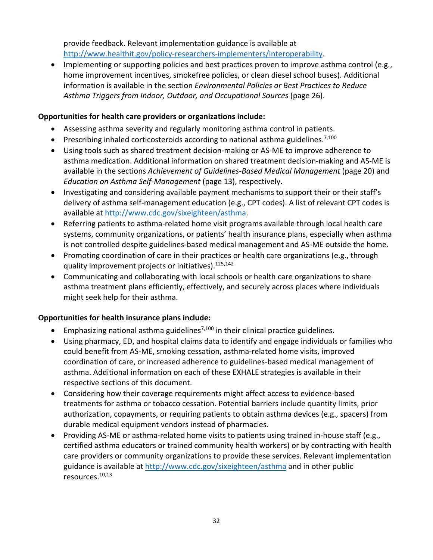provide feedback. Relevant implementation guidance is available at [http://www.healthit.gov/policy-researchers-implementers/interoperability.](http://www.healthit.gov/policy-researchers-implementers/interoperability)

• Implementing or supporting policies and best practices proven to improve asthma control (e.g., home improvement incentives, smokefree policies, or clean diesel school buses). Additional information is available in the section *Environmental Policies or Best Practices to Reduce Asthma Triggers from Indoor, Outdoor, and Occupational Sources* (page 26).

#### **Opportunities for health care providers or organizations include:**

- Assessing asthma severity and regularly monitoring asthma control in patients.
- Prescribing inhaled corticosteroids according to national asthma guidelines.<sup>7,100</sup>
- Using tools such as shared treatment decision-making or AS-ME to improve adherence to asthma medication. Additional information on shared treatment decision-making and AS-ME is available in the sections *Achievement of Guidelines-Based Medical Management* (page 20) and *Education on Asthma Self-Management* (page 13), respectively.
- Investigating and considering available payment mechanisms to support their or their staff's delivery of asthma self-management education (e.g., CPT codes). A list of relevant CPT codes is available at [http://www.cdc.gov/sixeighteen/asthma.](http://www.cdc.gov/sixeighteen/asthma)
- Referring patients to asthma-related home visit programs available through local health care systems, community organizations, or patients' health insurance plans, especially when asthma is not controlled despite guidelines-based medical management and AS-ME outside the home.
- Promoting coordination of care in their practices or health care organizations (e.g., through quality improvement projects or initiatives).<sup>125,142</sup>
- Communicating and collaborating with local schools or health care organizations to share asthma treatment plans efficiently, effectively, and securely across places where individuals might seek help for their asthma.

#### **Opportunities for health insurance plans include:**

- Emphasizing national asthma guidelines<sup>7,100</sup> in their clinical practice guidelines.
- Using pharmacy, ED, and hospital claims data to identify and engage individuals or families who could benefit from AS-ME, smoking cessation, asthma-related home visits, improved coordination of care, or increased adherence to guidelines-based medical management of asthma. Additional information on each of these EXHALE strategies is available in their respective sections of this document.
- Considering how their coverage requirements might affect access to evidence-based treatments for asthma or tobacco cessation. Potential barriers include quantity limits, prior authorization, copayments, or requiring patients to obtain asthma devices (e.g., spacers) from durable medical equipment vendors instead of pharmacies.
- Providing AS-ME or asthma-related home visits to patients using trained in-house staff (e.g., certified asthma educators or trained community health workers) or by contracting with health care providers or community organizations to provide these services. Relevant implementation guidance is available at<http://www.cdc.gov/sixeighteen/asthma> and in other public resources.10,13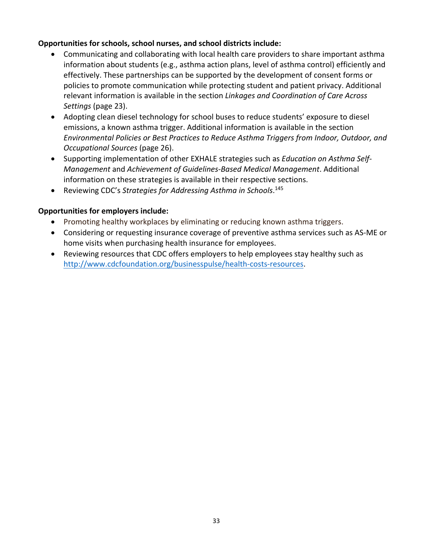#### **Opportunities for schools, school nurses, and school districts include:**

- Communicating and collaborating with local health care providers to share important asthma information about students (e.g., asthma action plans, level of asthma control) efficiently and effectively. These partnerships can be supported by the development of consent forms or policies to promote communication while protecting student and patient privacy. Additional relevant information is available in the section *Linkages and Coordination of Care Across Settings* (page 23).
- Adopting clean diesel technology for school buses to reduce students' exposure to diesel emissions, a known asthma trigger. Additional information is available in the section *Environmental Policies or Best Practices to Reduce Asthma Triggers from Indoor, Outdoor, and Occupational Sources* (page 26).
- Supporting implementation of other EXHALE strategies such as *Education on Asthma Self-Management* and *Achievement of Guidelines-Based Medical Management*. Additional information on these strategies is available in their respective sections.
- Reviewing CDC's *Strategies for Addressing Asthma in Schools*. 145

#### **Opportunities for employers include:**

- Promoting healthy workplaces by eliminating or reducing known asthma triggers.
- Considering or requesting insurance coverage of preventive asthma services such as AS-ME or home visits when purchasing health insurance for employees.
- Reviewing resources that CDC offers employers to help employees stay healthy such as [http://www.cdcfoundation.org/businesspulse/health-costs-resources.](http://www.cdcfoundation.org/businesspulse/health-costs-resources)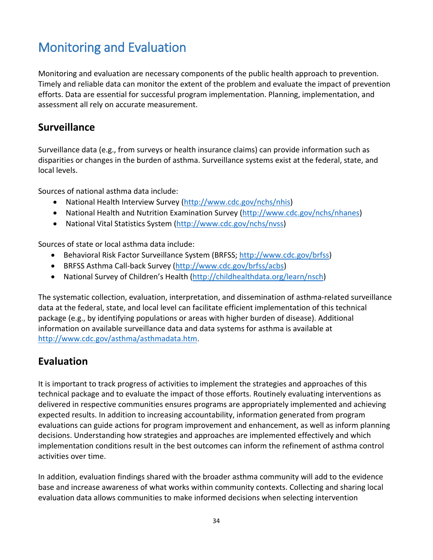## <span id="page-33-0"></span>Monitoring and Evaluation

Monitoring and evaluation are necessary components of the public health approach to prevention. Timely and reliable data can monitor the extent of the problem and evaluate the impact of prevention efforts. Data are essential for successful program implementation. Planning, implementation, and assessment all rely on accurate measurement.

### **Surveillance**

Surveillance data (e.g., from surveys or health insurance claims) can provide information such as disparities or changes in the burden of asthma. Surveillance systems exist at the federal, state, and local levels.

Sources of national asthma data include:

- National Health Interview Survey [\(http://www.cdc.gov/nchs/nhis\)](http://www.cdc.gov/nchs/nhis)
- National Health and Nutrition Examination Survey [\(http://www.cdc.gov/nchs/nhanes\)](http://www.cdc.gov/nchs/nhanes)
- National Vital Statistics System [\(http://www.cdc.gov/nchs/nvss\)](http://www.cdc.gov/nchs/nvss)

Sources of state or local asthma data include:

- Behavioral Risk Factor Surveillance System (BRFSS; [http://www.cdc.gov/brfss\)](http://www.cdc.gov/brfss)
- BRFSS Asthma Call-back Survey [\(http://www.cdc.gov/brfss/acbs\)](http://www.cdc.gov/brfss/acbs)
- National Survey of Children's Health [\(http://childhealthdata.org/learn/nsch\)](http://childhealthdata.org/learn/nsch)

The systematic collection, evaluation, interpretation, and dissemination of asthma-related surveillance data at the federal, state, and local level can facilitate efficient implementation of this technical package (e.g., by identifying populations or areas with higher burden of disease). Additional information on available surveillance data and data systems for asthma is available at [http://www.cdc.gov/asthma/asthmadata.htm.](http://www.cdc.gov/asthma/asthmadata.htm)

### **Evaluation**

It is important to track progress of activities to implement the strategies and approaches of this technical package and to evaluate the impact of those efforts. Routinely evaluating interventions as delivered in respective communities ensures programs are appropriately implemented and achieving expected results. In addition to increasing accountability, information generated from program evaluations can guide actions for program improvement and enhancement, as well as inform planning decisions. Understanding how strategies and approaches are implemented effectively and which implementation conditions result in the best outcomes can inform the refinement of asthma control activities over time.

In addition, evaluation findings shared with the broader asthma community will add to the evidence base and increase awareness of what works within community contexts. Collecting and sharing local evaluation data allows communities to make informed decisions when selecting intervention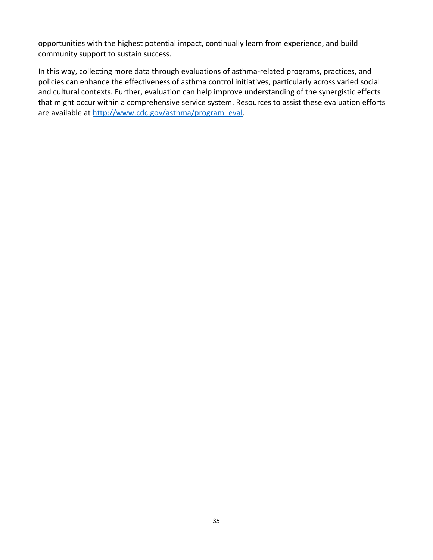opportunities with the highest potential impact, continually learn from experience, and build community support to sustain success.

In this way, collecting more data through evaluations of asthma-related programs, practices, and policies can enhance the effectiveness of asthma control initiatives, particularly across varied social and cultural contexts. Further, evaluation can help improve understanding of the synergistic effects that might occur within a comprehensive service system. Resources to assist these evaluation efforts are available at [http://www.cdc.gov/asthma/program\\_eval.](http://www.cdc.gov/asthma/program_eval)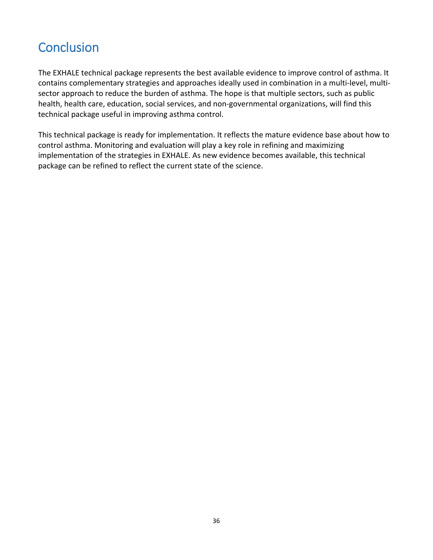## <span id="page-35-0"></span>**Conclusion**

The EXHALE technical package represents the best available evidence to improve control of asthma. It contains complementary strategies and approaches ideally used in combination in a multi-level, multisector approach to reduce the burden of asthma. The hope is that multiple sectors, such as public health, health care, education, social services, and non-governmental organizations, will find this technical package useful in improving asthma control.

This technical package is ready for implementation. It reflects the mature evidence base about how to control asthma. Monitoring and evaluation will play a key role in refining and maximizing implementation of the strategies in EXHALE. As new evidence becomes available, this technical package can be refined to reflect the current state of the science.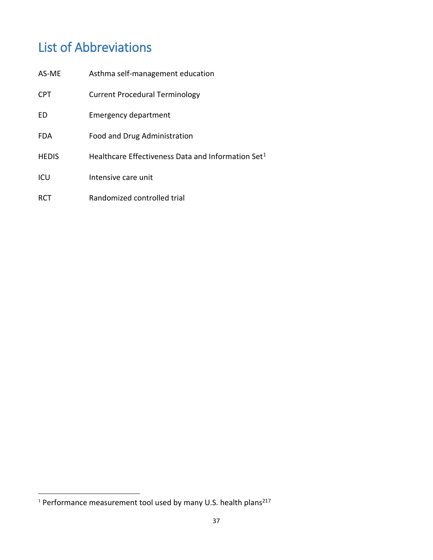## <span id="page-36-0"></span>List of Abbreviations

| AS-ME        | Asthma self-management education                               |
|--------------|----------------------------------------------------------------|
| <b>CPT</b>   | <b>Current Procedural Terminology</b>                          |
| FD           | Emergency department                                           |
| <b>FDA</b>   | Food and Drug Administration                                   |
| <b>HEDIS</b> | Healthcare Effectiveness Data and Information Set <sup>1</sup> |
| ICU          | Intensive care unit                                            |
| <b>RCT</b>   | Randomized controlled trial                                    |

l

<span id="page-36-1"></span><sup>&</sup>lt;sup>1</sup> Performance measurement tool used by many U.S. health plans<sup>217</sup>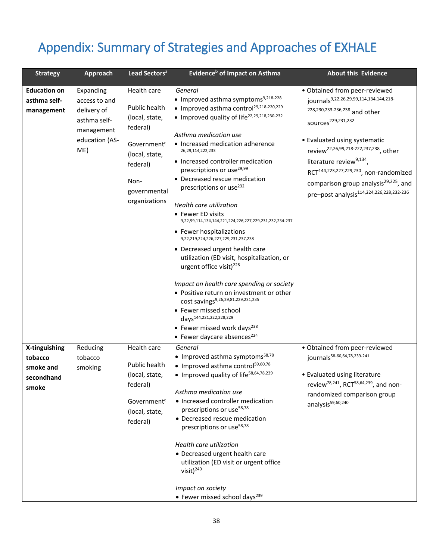## Appendix: Summary of Strategies and Approaches of EXHALE

| <b>Strategy</b>                                              | <b>Approach</b>                                                                                  | Lead Sectors <sup>a</sup>                                                                                                                                    | Evidence <sup>b</sup> of Impact on Asthma                                                                                                                                                                                                                                                                                                                                                                                                                                                                                                                                                                                                                                                                                                                                                                                                                                                                                                                                | <b>About this Evidence</b>                                                                                                                                                                                                                                                                                                                                                                                                                   |
|--------------------------------------------------------------|--------------------------------------------------------------------------------------------------|--------------------------------------------------------------------------------------------------------------------------------------------------------------|--------------------------------------------------------------------------------------------------------------------------------------------------------------------------------------------------------------------------------------------------------------------------------------------------------------------------------------------------------------------------------------------------------------------------------------------------------------------------------------------------------------------------------------------------------------------------------------------------------------------------------------------------------------------------------------------------------------------------------------------------------------------------------------------------------------------------------------------------------------------------------------------------------------------------------------------------------------------------|----------------------------------------------------------------------------------------------------------------------------------------------------------------------------------------------------------------------------------------------------------------------------------------------------------------------------------------------------------------------------------------------------------------------------------------------|
| <b>Education on</b><br>asthma self-<br>management            | Expanding<br>access to and<br>delivery of<br>asthma self-<br>management<br>education (AS-<br>ME) | Health care<br>Public health<br>(local, state,<br>federal)<br>Government <sup>c</sup><br>(local, state,<br>federal)<br>Non-<br>governmental<br>organizations | General<br>• Improved asthma symptoms <sup>9,218-228</sup><br>• Improved asthma control <sup>29,218-220,229</sup><br>• Improved quality of life <sup>22,29,218,230-232</sup><br>Asthma medication use<br>• Increased medication adherence<br>26, 29, 114, 222, 233<br>• Increased controller medication<br>prescriptions or use <sup>29,99</sup><br>• Decreased rescue medication<br>prescriptions or use <sup>232</sup><br>Health care utilization<br>• Fewer ED visits<br>9,22,99,114,134,144,221,224,226,227,229,231,232,234-237<br>• Fewer hospitalizations<br>9,22,219,224,226,227,229,231,237,238<br>• Decreased urgent health care<br>utilization (ED visit, hospitalization, or<br>urgent office visit) <sup>228</sup><br>Impact on health care spending or society<br>• Positive return on investment or other<br>cost savings9,26,29,81,229,231,235<br>• Fewer missed school<br>days <sup>144,221,222,228,229</sup><br>• Fewer missed work days <sup>238</sup> | · Obtained from peer-reviewed<br>journals9,22,26,29,99,114,134,144,218-<br>228,230,233-236,238 and other<br>sources <sup>229,231,232</sup><br>• Evaluated using systematic<br>review <sup>22,26,99,218-222,237,238</sup> , other<br>literature review <sup>9,134</sup> ,<br>RCT <sup>144,223,227,229,230</sup> , non-randomized<br>comparison group analysis <sup>29,225</sup> , and<br>pre-post analysis <sup>114,224,226,228,232-236</sup> |
| X-tinguishing<br>tobacco<br>smoke and<br>secondhand<br>smoke | Reducing<br>tobacco<br>smoking                                                                   | Health care<br>Public health<br>(local, state,<br>federal)<br>Government <sup>c</sup><br>(local, state,<br>federal)                                          | • Fewer daycare absences <sup>224</sup><br>General<br>• Improved asthma symptoms <sup>58,78</sup><br>• Improved asthma control <sup>59,60,78</sup><br>• Improved quality of life <sup>58,64,78,239</sup><br>Asthma medication use<br>• Increased controller medication<br>prescriptions or use <sup>58,78</sup><br>• Decreased rescue medication<br>prescriptions or use <sup>58,78</sup><br>Health care utilization<br>• Decreased urgent health care<br>utilization (ED visit or urgent office<br>visit) <sup>240</sup><br>Impact on society<br>• Fewer missed school days <sup>239</sup>                                                                                                                                                                                                                                                                                                                                                                              | · Obtained from peer-reviewed<br>journals <sup>58-60,64,78,239-241</sup><br>• Evaluated using literature<br>review <sup>78,241</sup> , RCT <sup>58,64,239</sup> , and non-<br>randomized comparison group<br>analysis <sup>59,60,240</sup>                                                                                                                                                                                                   |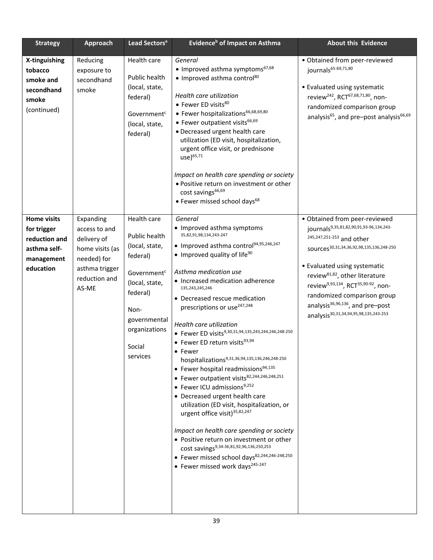| <b>Strategy</b>                                                                               | <b>Approach</b>                                                                                                         | Lead Sectors <sup>a</sup>                                                                                                                                                          | Evidence <sup>b</sup> of Impact on Asthma                                                                                                                                                                                                                                                                                                                                                                                                                                                                                                                                                                                                                                                                                                                                                                                                                                                                                                                                                                                    | <b>About this Evidence</b>                                                                                                                                                                                                                                                                                                                                                                                                                     |
|-----------------------------------------------------------------------------------------------|-------------------------------------------------------------------------------------------------------------------------|------------------------------------------------------------------------------------------------------------------------------------------------------------------------------------|------------------------------------------------------------------------------------------------------------------------------------------------------------------------------------------------------------------------------------------------------------------------------------------------------------------------------------------------------------------------------------------------------------------------------------------------------------------------------------------------------------------------------------------------------------------------------------------------------------------------------------------------------------------------------------------------------------------------------------------------------------------------------------------------------------------------------------------------------------------------------------------------------------------------------------------------------------------------------------------------------------------------------|------------------------------------------------------------------------------------------------------------------------------------------------------------------------------------------------------------------------------------------------------------------------------------------------------------------------------------------------------------------------------------------------------------------------------------------------|
| X-tinguishing<br>tobacco<br>smoke and<br>secondhand<br>smoke<br>(continued)                   | Reducing<br>exposure to<br>secondhand<br>smoke                                                                          | Health care<br>Public health<br>(local, state,<br>federal)<br>Government <sup>c</sup><br>(local, state,<br>federal)                                                                | General<br>• Improved asthma symptoms <sup>67,68</sup><br>• Improved asthma control <sup>80</sup><br>Health care utilization<br>• Fewer ED visits80<br>• Fewer hospitalizations <sup>66,68,69,80</sup><br>• Fewer outpatient visits <sup>66,69</sup><br>• Decreased urgent health care<br>utilization (ED visit, hospitalization,<br>urgent office visit, or prednisone<br>$use)^{65,71}$<br>Impact on health care spending or society<br>· Positive return on investment or other<br>cost savings <sup>66,69</sup><br>• Fewer missed school days <sup>68</sup>                                                                                                                                                                                                                                                                                                                                                                                                                                                              | • Obtained from peer-reviewed<br>journals65-69,71,80<br>• Evaluated using systematic<br>review <sup>242</sup> , RCT <sup>67,68,71,80</sup> , non-<br>randomized comparison group<br>analysis <sup>65</sup> , and pre-post analysis <sup>66,69</sup>                                                                                                                                                                                            |
| <b>Home visits</b><br>for trigger<br>reduction and<br>asthma self-<br>management<br>education | Expanding<br>access to and<br>delivery of<br>home visits (as<br>needed) for<br>asthma trigger<br>reduction and<br>AS-ME | Health care<br>Public health<br>(local, state,<br>federal)<br>Government <sup>c</sup><br>(local, state,<br>federal)<br>Non-<br>governmental<br>organizations<br>Social<br>services | General<br>• Improved asthma symptoms<br>35,82,91,98,134,243-247<br>• Improved asthma control94,95,246,247<br>• Improved quality of life <sup>90</sup><br>Asthma medication use<br>• Increased medication adherence<br>135,243,245,246<br>• Decreased rescue medication<br>prescriptions or use <sup>247,248</sup><br>Health care utilization<br>• Fewer ED visits9,30,31,94,135,243,244,246,248-250<br>• Fewer ED return visits93,94<br>• Fewer<br>hospitalizations9,31,36,94,135,136,246,248-250<br>• Fewer hospital readmissions94,135<br>• Fewer outpatient visits82,244,246,248,251<br>• Fewer ICU admissions <sup>9,252</sup><br>• Decreased urgent health care<br>utilization (ED visit, hospitalization, or<br>urgent office visit) <sup>35,82,247</sup><br>Impact on health care spending or society<br>• Positive return on investment or other<br>cost savings <sup>9,34-36,81,92,96,136,250,253</sup><br>• Fewer missed school days <sup>82,244,246-248,250</sup><br>• Fewer missed work days <sup>245-247</sup> | • Obtained from peer-reviewed<br>journals9,35,81,82,90,91,93-96,134,243-<br>245,247,251-253 and other<br>SOUrces <sup>30,31,34,36,92,98,135,136,248-250</sup><br>• Evaluated using systematic<br>review <sup>81,82</sup> , other literature<br>review <sup>9,93,134</sup> , RCT <sup>35,90-92</sup> , non-<br>randomized comparison group<br>analysis <sup>36,96,136</sup> , and pre-post<br>analysis <sup>30,31,34,94,95,98,135,243-253</sup> |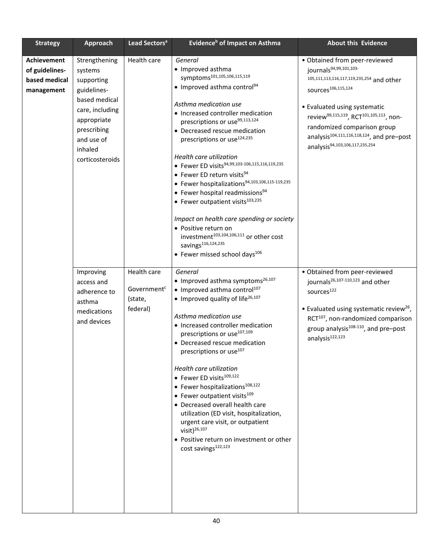| <b>Strategy</b>                                                     | <b>Approach</b>                                                                                                                                                     | Lead Sectors <sup>a</sup>                                     | Evidence <sup>b</sup> of Impact on Asthma                                                                                                                                                                                                                                                                                                                                                                                                                                                                                                                                                                                                                                                                                                                                               | <b>About this Evidence</b>                                                                                                                                                                                                                                                                                                                                                        |
|---------------------------------------------------------------------|---------------------------------------------------------------------------------------------------------------------------------------------------------------------|---------------------------------------------------------------|-----------------------------------------------------------------------------------------------------------------------------------------------------------------------------------------------------------------------------------------------------------------------------------------------------------------------------------------------------------------------------------------------------------------------------------------------------------------------------------------------------------------------------------------------------------------------------------------------------------------------------------------------------------------------------------------------------------------------------------------------------------------------------------------|-----------------------------------------------------------------------------------------------------------------------------------------------------------------------------------------------------------------------------------------------------------------------------------------------------------------------------------------------------------------------------------|
| <b>Achievement</b><br>of guidelines-<br>based medical<br>management | Strengthening<br>systems<br>supporting<br>guidelines-<br>based medical<br>care, including<br>appropriate<br>prescribing<br>and use of<br>inhaled<br>corticosteroids | Health care                                                   | General<br>• Improved asthma<br>symptoms <sup>101,105,106,115,119</sup><br>• Improved asthma control <sup>94</sup><br>Asthma medication use<br>• Increased controller medication<br>prescriptions or use <sup>99,113,124</sup><br>• Decreased rescue medication<br>prescriptions or use <sup>124,235</sup><br>Health care utilization<br>• Fewer ED visits <sup>94,99,103-106,115,116,119,235</sup><br>• Fewer ED return visits <sup>94</sup><br>• Fewer hospitalizations94,103,106,115-119,235<br>• Fewer hospital readmissions <sup>94</sup><br>• Fewer outpatient visits $103,235$<br>Impact on health care spending or society<br>• Positive return on<br>investment <sup>103,104,106,111</sup> or other cost<br>savings <sup>116,124,235</sup><br>• Fewer missed school days $106$ | • Obtained from peer-reviewed<br>journals <sup>94,99,101,103-</sup><br>105,111,113,116,117,119,235,254 and other<br>sources <sup>106,115,124</sup><br>• Evaluated using systematic<br>review <sup>99,115,119</sup> , RCT <sup>101,105,113</sup> , non-<br>randomized comparison group<br>analysis <sup>104,111,116,118,124</sup> , and pre-post<br>analysis94,103,106,117,235,254 |
|                                                                     | Improving<br>access and<br>adherence to<br>asthma<br>medications<br>and devices                                                                                     | Health care<br>Government <sup>c</sup><br>(state,<br>federal) | General<br>• Improved asthma symptoms $26,107$<br>• Improved asthma control <sup>107</sup><br>• Improved quality of life <sup>26,107</sup><br>Asthma medication use<br>• Increased controller medication<br>prescriptions or use <sup>107,109</sup><br>• Decreased rescue medication<br>prescriptions or use <sup>107</sup><br>Health care utilization<br>• Fewer ED visits <sup>109,122</sup><br>• Fewer hospitalizations <sup>108,122</sup><br>• Fewer outpatient visits <sup>109</sup><br>• Decreased overall health care<br>utilization (ED visit, hospitalization,<br>urgent care visit, or outpatient<br>$visit)^{26,107}$<br>• Positive return on investment or other<br>cost savings <sup>122,123</sup>                                                                         | • Obtained from peer-reviewed<br>journals <sup>26,107-110,123</sup> and other<br>sources <sup>122</sup><br>• Evaluated using systematic review <sup>26</sup> ,<br>RCT <sup>107</sup> , non-randomized comparison<br>group analysis $108-110$ , and pre-post<br>analysis <sup>122,123</sup>                                                                                        |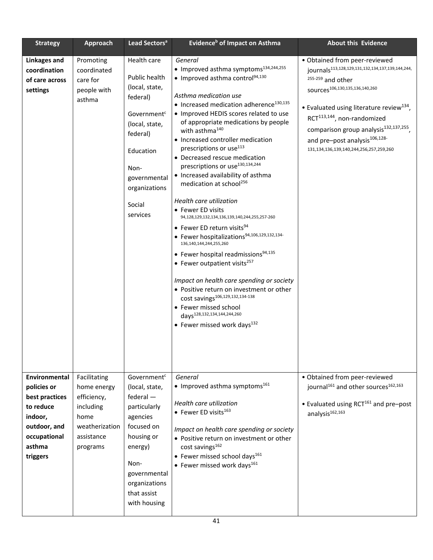| <b>Strategy</b>                                                                                                              | <b>Approach</b>                                                                                             | Lead Sectors <sup>a</sup>                                                                                                                                                                              | Evidence <sup>b</sup> of Impact on Asthma                                                                                                                                                                                                                                                                                                                                                                                                                                                                                                                                                                                                                                                                                                                                                                                                                                                                                                                                                                                                                                                                                  | <b>About this Evidence</b>                                                                                                                                                                                                                                                                                                                                                                                                 |
|------------------------------------------------------------------------------------------------------------------------------|-------------------------------------------------------------------------------------------------------------|--------------------------------------------------------------------------------------------------------------------------------------------------------------------------------------------------------|----------------------------------------------------------------------------------------------------------------------------------------------------------------------------------------------------------------------------------------------------------------------------------------------------------------------------------------------------------------------------------------------------------------------------------------------------------------------------------------------------------------------------------------------------------------------------------------------------------------------------------------------------------------------------------------------------------------------------------------------------------------------------------------------------------------------------------------------------------------------------------------------------------------------------------------------------------------------------------------------------------------------------------------------------------------------------------------------------------------------------|----------------------------------------------------------------------------------------------------------------------------------------------------------------------------------------------------------------------------------------------------------------------------------------------------------------------------------------------------------------------------------------------------------------------------|
| <b>Linkages and</b><br>coordination<br>of care across<br>settings                                                            | Promoting<br>coordinated<br>care for<br>people with<br>asthma                                               | Health care<br>Public health<br>(local, state,<br>federal)<br>Government <sup>c</sup><br>(local, state,<br>federal)<br>Education<br>Non-<br>governmental<br>organizations<br>Social<br>services        | General<br>• Improved asthma symptoms <sup>134,244,255</sup><br>• Improved asthma control <sup>94,130</sup><br>Asthma medication use<br>• Increased medication adherence <sup>130,135</sup><br>• Improved HEDIS scores related to use<br>of appropriate medications by people<br>with asthma <sup>140</sup><br>• Increased controller medication<br>prescriptions or use <sup>113</sup><br>• Decreased rescue medication<br>prescriptions or use <sup>130,134,244</sup><br>• Increased availability of asthma<br>medication at school <sup>256</sup><br>Health care utilization<br>• Fewer ED visits<br>94,128,129,132,134,136,139,140,244,255,257-260<br>• Fewer ED return visits <sup>94</sup><br>• Fewer hospitalizations94,106,129,132,134-<br>136,140,144,244,255,260<br>• Fewer hospital readmissions <sup>94,135</sup><br>• Fewer outpatient visits <sup>257</sup><br>Impact on health care spending or society<br>• Positive return on investment or other<br>cost savings <sup>106,129,132,134-138</sup><br>• Fewer missed school<br>days <sup>128,132,134,144,244,260</sup><br>• Fewer missed work days $^{132}$ | · Obtained from peer-reviewed<br>journals <sup>113,128,129,131,132,134,137,139,144,244,</sup><br>255-259 and other<br>SOUrces <sup>106,130,135,136,140,260</sup><br>• Evaluated using literature review <sup>134</sup> ,<br>RCT <sup>113,144</sup> , non-randomized<br>comparison group analysis <sup>132,137,255</sup> ,<br>and pre-post analysis <sup>106,128-</sup><br>131, 134, 136, 139, 140, 244, 256, 257, 259, 260 |
| Environmental<br>policies or<br>best practices<br>to reduce<br>indoor,<br>outdoor, and<br>occupational<br>asthma<br>triggers | Facilitating<br>home energy<br>efficiency,<br>including<br>home<br>weatherization<br>assistance<br>programs | Government <sup>c</sup><br>(local, state,<br>$f$ ederal $-$<br>particularly<br>agencies<br>focused on<br>housing or<br>energy)<br>Non-<br>governmental<br>organizations<br>that assist<br>with housing | General<br>• Improved asthma symptoms <sup>161</sup><br>Health care utilization<br>• Fewer ED visits <sup>163</sup><br>Impact on health care spending or society<br>• Positive return on investment or other<br>cost savings <sup>162</sup><br>• Fewer missed school days <sup>161</sup><br>• Fewer missed work days <sup>161</sup>                                                                                                                                                                                                                                                                                                                                                                                                                                                                                                                                                                                                                                                                                                                                                                                        | · Obtained from peer-reviewed<br>journal <sup>161</sup> and other sources <sup>162,163</sup><br>• Evaluated using RCT $^{161}$ and pre-post<br>analysis <sup>162,163</sup>                                                                                                                                                                                                                                                 |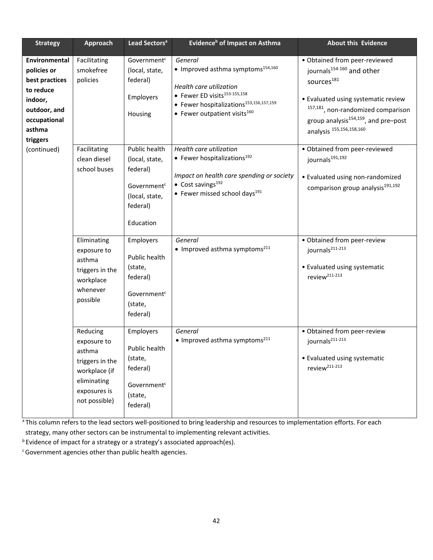| <b>Strategy</b>                                                                                                                     | Approach                                                                                                              | Lead Sectors <sup>a</sup>                                                                                         | Evidence <sup>b</sup> of Impact on Asthma                                                                                                                                                                                          | <b>About this Evidence</b>                                                                                                                                                                                                                                                  |
|-------------------------------------------------------------------------------------------------------------------------------------|-----------------------------------------------------------------------------------------------------------------------|-------------------------------------------------------------------------------------------------------------------|------------------------------------------------------------------------------------------------------------------------------------------------------------------------------------------------------------------------------------|-----------------------------------------------------------------------------------------------------------------------------------------------------------------------------------------------------------------------------------------------------------------------------|
| <b>Environmental</b><br>policies or<br>best practices<br>to reduce<br>indoor,<br>outdoor, and<br>occupational<br>asthma<br>triggers | Facilitating<br>smokefree<br>policies                                                                                 | Government <sup>c</sup><br>(local, state,<br>federal)<br>Employers<br>Housing                                     | General<br>• Improved asthma symptoms <sup>154,160</sup><br>Health care utilization<br>• Fewer ED visits <sup>153-155,158</sup><br>• Fewer hospitalizations <sup>153,156,157,159</sup><br>• Fewer outpatient visits <sup>160</sup> | • Obtained from peer-reviewed<br>journals <sup>154-160</sup> and other<br>sources <sup>181</sup><br>• Evaluated using systematic review<br><sup>157,181</sup> , non-randomized comparison<br>group analysis $154,159$ , and pre-post<br>analysis <sup>155,156,158,160</sup> |
| (continued)                                                                                                                         | Facilitating<br>clean diesel<br>school buses                                                                          | Public health<br>(local, state,<br>federal)<br>Government <sup>c</sup><br>(local, state,<br>federal)<br>Education | Health care utilization<br>• Fewer hospitalizations <sup>192</sup><br>Impact on health care spending or society<br>$\bullet$ Cost savings <sup>192</sup><br>• Fewer missed school days <sup>191</sup>                              | • Obtained from peer-reviewed<br>journals <sup>191,192</sup><br>• Evaluated using non-randomized<br>comparison group analysis <sup>191,192</sup>                                                                                                                            |
|                                                                                                                                     | Eliminating<br>exposure to<br>asthma<br>triggers in the<br>workplace<br>whenever<br>possible                          | Employers<br>Public health<br>(state,<br>federal)<br>Government <sup>c</sup><br>(state,<br>federal)               | General<br>• Improved asthma symptoms <sup>211</sup>                                                                                                                                                                               | · Obtained from peer-review<br>journals <sup>211-213</sup><br>• Evaluated using systematic<br>review <sup>211-213</sup>                                                                                                                                                     |
|                                                                                                                                     | Reducing<br>exposure to<br>asthma<br>triggers in the<br>workplace (if<br>eliminating<br>exposures is<br>not possible) | Employers<br>Public health<br>(state,<br>federal)<br>Government <sup>c</sup><br>(state,<br>federal)               | General<br>• Improved asthma symptoms <sup>211</sup>                                                                                                                                                                               | · Obtained from peer-review<br>journals <sup>211-213</sup><br>• Evaluated using systematic<br>review <sup>211-213</sup>                                                                                                                                                     |

a This column refers to the lead sectors well-positioned to bring leadership and resources to implementation efforts. For each strategy, many other sectors can be instrumental to implementing relevant activities.

**b** Evidence of impact for a strategy or a strategy's associated approach(es).

c Government agencies other than public health agencies.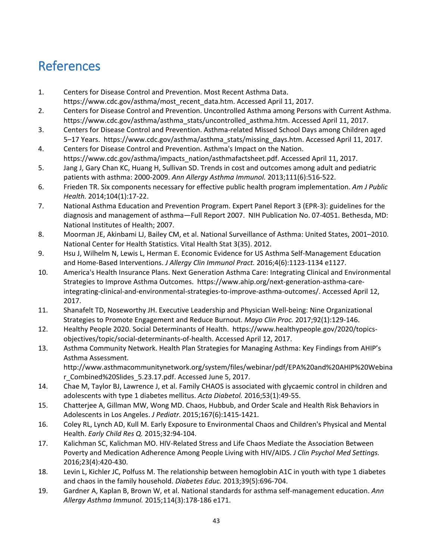## <span id="page-42-0"></span>References

- 1. Centers for Disease Control and Prevention. Most Recent Asthma Data. https://www.cdc.gov/asthma/most\_recent\_data.htm. Accessed April 11, 2017.
- 2. Centers for Disease Control and Prevention. Uncontrolled Asthma among Persons with Current Asthma. https://www.cdc.gov/asthma/asthma\_stats/uncontrolled\_asthma.htm. Accessed April 11, 2017.
- 3. Centers for Disease Control and Prevention. Asthma-related Missed School Days among Children aged 5-17 Years. https://www.cdc.gov/asthma/asthma\_stats/missing\_days.htm. Accessed April 11, 2017.
- 4. Centers for Disease Control and Prevention. Asthma's Impact on the Nation. https://www.cdc.gov/asthma/impacts\_nation/asthmafactsheet.pdf. Accessed April 11, 2017.
- 5. Jang J, Gary Chan KC, Huang H, Sullivan SD. Trends in cost and outcomes among adult and pediatric patients with asthma: 2000-2009. *Ann Allergy Asthma Immunol.* 2013;111(6):516-522.
- 6. Frieden TR. Six components necessary for effective public health program implementation. *Am J Public Health.* 2014;104(1):17-22.
- 7. National Asthma Education and Prevention Program. Expert Panel Report 3 (EPR-3): guidelines for the diagnosis and management of asthma—Full Report 2007. NIH Publication No. 07-4051. Bethesda, MD: National Institutes of Health; 2007.
- 8. Moorman JE, Akinbami LJ, Bailey CM, et al. National Surveillance of Asthma: United States, 2001–2010. National Center for Health Statistics. Vital Health Stat 3(35). 2012.
- 9. Hsu J, Wilhelm N, Lewis L, Herman E. Economic Evidence for US Asthma Self-Management Education and Home-Based Interventions. *J Allergy Clin Immunol Pract.* 2016;4(6):1123-1134 e1127.
- 10. America's Health Insurance Plans. Next Generation Asthma Care: Integrating Clinical and Environmental Strategies to Improve Asthma Outcomes. https://www.ahip.org/next-generation-asthma-careintegrating-clinical-and-environmental-strategies-to-improve-asthma-outcomes/. Accessed April 12, 2017.
- 11. Shanafelt TD, Noseworthy JH. Executive Leadership and Physician Well-being: Nine Organizational Strategies to Promote Engagement and Reduce Burnout. *Mayo Clin Proc.* 2017;92(1):129-146.
- 12. Healthy People 2020. Social Determinants of Health. https://www.healthypeople.gov/2020/topicsobjectives/topic/social-determinants-of-health. Accessed April 12, 2017.
- 13. Asthma Community Network. Health Plan Strategies for Managing Asthma: Key Findings from AHIP's Asthma Assessment. http://www.asthmacommunitynetwork.org/system/files/webinar/pdf/EPA%20and%20AHIP%20Webina r\_Combined%20Slides\_5.23.17.pdf. Accessed June 5, 2017.
- 14. Chae M, Taylor BJ, Lawrence J, et al. Family CHAOS is associated with glycaemic control in children and adolescents with type 1 diabetes mellitus. *Acta Diabetol.* 2016;53(1):49-55.
- 15. Chatterjee A, Gillman MW, Wong MD. Chaos, Hubbub, and Order Scale and Health Risk Behaviors in Adolescents in Los Angeles. *J Pediatr.* 2015;167(6):1415-1421.
- 16. Coley RL, Lynch AD, Kull M. Early Exposure to Environmental Chaos and Children's Physical and Mental Health. *Early Child Res Q.* 2015;32:94-104.
- 17. Kalichman SC, Kalichman MO. HIV-Related Stress and Life Chaos Mediate the Association Between Poverty and Medication Adherence Among People Living with HIV/AIDS. *J Clin Psychol Med Settings.*  2016;23(4):420-430.
- 18. Levin L, Kichler JC, Polfuss M. The relationship between hemoglobin A1C in youth with type 1 diabetes and chaos in the family household. *Diabetes Educ.* 2013;39(5):696-704.
- 19. Gardner A, Kaplan B, Brown W, et al. National standards for asthma self-management education. *Ann Allergy Asthma Immunol.* 2015;114(3):178-186 e171.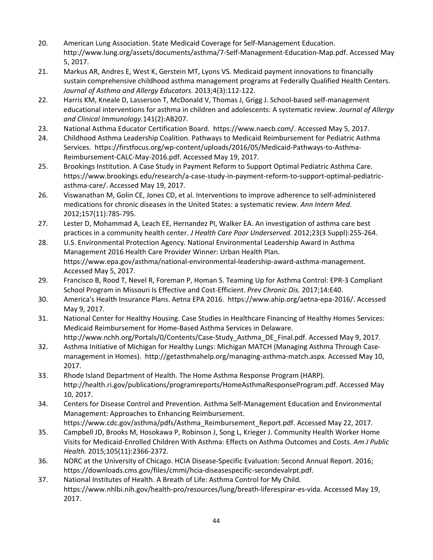- 20. American Lung Association. State Medicaid Coverage for Self-Management Education. http://www.lung.org/assets/documents/asthma/7-Self-Management-Education-Map.pdf. Accessed May 5, 2017.
- 21. Markus AR, Andres E, West K, Gerstein MT, Lyons VS. Medicaid payment innovations to financially sustain comprehensive childhood asthma management programs at Federally Qualified Health Centers. *Journal of Asthma and Allergy Educators.* 2013;4(3):112-122.
- 22. Harris KM, Kneale D, Lasserson T, McDonald V, Thomas J, Grigg J. School-based self-management educational interventions for asthma in children and adolescents: A systematic review. *Journal of Allergy and Clinical Immunology.*141(2):AB207.
- 23. National Asthma Educator Certification Board. https://www.naecb.com/. Accessed May 5, 2017.
- 24. Childhood Asthma Leadership Coalition. Pathways to Medicaid Reimbursement for Pediatric Asthma Services. https://firstfocus.org/wp-content/uploads/2016/05/Medicaid-Pathways-to-Asthma-Reimbursement-CALC-May-2016.pdf. Accessed May 19, 2017.
- 25. Brookings Institution. A Case Study in Payment Reform to Support Optimal Pediatric Asthma Care. https://www.brookings.edu/research/a-case-study-in-payment-reform-to-support-optimal-pediatricasthma-care/. Accessed May 19, 2017.
- 26. Viswanathan M, Golin CE, Jones CD, et al. Interventions to improve adherence to self-administered medications for chronic diseases in the United States: a systematic review. *Ann Intern Med.*  2012;157(11):785-795.
- 27. Lester D, Mohammad A, Leach EE, Hernandez PI, Walker EA. An investigation of asthma care best practices in a community health center. *J Health Care Poor Underserved.* 2012;23(3 Suppl):255-264.
- 28. U.S. Environmental Protection Agency. National Environmental Leadership Award in Asthma Management 2016 Health Care Provider Winner: Urban Health Plan. https://www.epa.gov/asthma/national-environmental-leadership-award-asthma-management. Accessed May 5, 2017.
- 29. Francisco B, Rood T, Nevel R, Foreman P, Homan S. Teaming Up for Asthma Control: EPR-3 Compliant School Program in Missouri Is Effective and Cost-Efficient. *Prev Chronic Dis.* 2017;14:E40.
- 30. America's Health Insurance Plans. Aetna EPA 2016. https://www.ahip.org/aetna-epa-2016/. Accessed May 9, 2017.
- 31. National Center for Healthy Housing. Case Studies in Healthcare Financing of Healthy Homes Services: Medicaid Reimbursement for Home-Based Asthma Services in Delaware. http://www.nchh.org/Portals/0/Contents/Case-Study\_Asthma\_DE\_Final.pdf. Accessed May 9, 2017.
- 32. Asthma Initiative of Michigan for Healthy Lungs: Michigan MATCH (Managing Asthma Through Casemanagement in Homes). http://getasthmahelp.org/managing-asthma-match.aspx. Accessed May 10, 2017.
- 33. Rhode Island Department of Health. The Home Asthma Response Program (HARP). http://health.ri.gov/publications/programreports/HomeAsthmaResponseProgram.pdf. Accessed May 10, 2017.
- 34. Centers for Disease Control and Prevention. Asthma Self-Management Education and Environmental Management: Approaches to Enhancing Reimbursement.
- https://www.cdc.gov/asthma/pdfs/Asthma\_Reimbursement\_Report.pdf. Accessed May 22, 2017. 35. Campbell JD, Brooks M, Hosokawa P, Robinson J, Song L, Krieger J. Community Health Worker Home Visits for Medicaid-Enrolled Children With Asthma: Effects on Asthma Outcomes and Costs. *Am J Public*
- *Health.* 2015;105(11):2366-2372. 36. NORC at the University of Chicago. HCIA Disease-Specific Evaluation: Second Annual Report. 2016; https://downloads.cms.gov/files/cmmi/hcia-diseasespecific-secondevalrpt.pdf.
- 37. National Institutes of Health. A Breath of Life: Asthma Control for My Child. https://www.nhlbi.nih.gov/health-pro/resources/lung/breath-liferespirar-es-vida. Accessed May 19, 2017.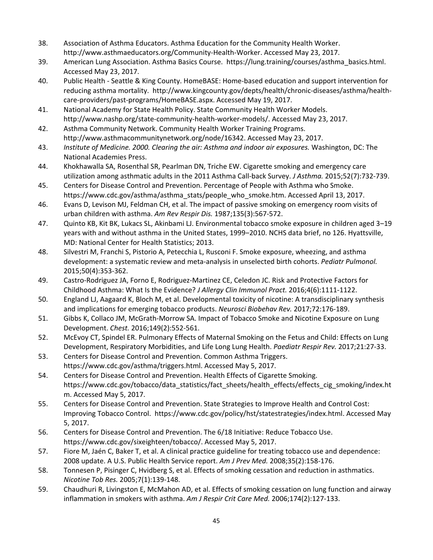- 38. Association of Asthma Educators. Asthma Education for the Community Health Worker. http://www.asthmaeducators.org/Community-Health-Worker. Accessed May 23, 2017.
- 39. American Lung Association. Asthma Basics Course. https://lung.training/courses/asthma\_basics.html. Accessed May 23, 2017.
- 40. Public Health Seattle & King County. HomeBASE: Home-based education and support intervention for reducing asthma mortality. http://www.kingcounty.gov/depts/health/chronic-diseases/asthma/healthcare-providers/past-programs/HomeBASE.aspx. Accessed May 19, 2017.
- 41. National Academy for State Health Policy. State Community Health Worker Models. http://www.nashp.org/state-community-health-worker-models/. Accessed May 23, 2017.
- 42. Asthma Community Network. Community Health Worker Training Programs. http://www.asthmacommunitynetwork.org/node/16342. Accessed May 23, 2017.
- 43. *Institute of Medicine. 2000. Clearing the air: Asthma and indoor air exposures.* Washington, DC: The National Academies Press.
- 44. Khokhawalla SA, Rosenthal SR, Pearlman DN, Triche EW. Cigarette smoking and emergency care utilization among asthmatic adults in the 2011 Asthma Call-back Survey. *J Asthma.* 2015;52(7):732-739.
- 45. Centers for Disease Control and Prevention. Percentage of People with Asthma who Smoke. https://www.cdc.gov/asthma/asthma\_stats/people\_who\_smoke.htm. Accessed April 13, 2017.
- 46. Evans D, Levison MJ, Feldman CH, et al. The impact of passive smoking on emergency room visits of urban children with asthma. *Am Rev Respir Dis.* 1987;135(3):567-572.
- 47. Quinto KB, Kit BK, Lukacs SL, Akinbami LJ. Environmental tobacco smoke exposure in children aged 3‒19 years with and without asthma in the United States, 1999-2010. NCHS data brief, no 126. Hyattsville, MD: National Center for Health Statistics; 2013.
- 48. Silvestri M, Franchi S, Pistorio A, Petecchia L, Rusconi F. Smoke exposure, wheezing, and asthma development: a systematic review and meta-analysis in unselected birth cohorts. *Pediatr Pulmonol.*  2015;50(4):353-362.
- 49. Castro-Rodriguez JA, Forno E, Rodriguez-Martinez CE, Celedon JC. Risk and Protective Factors for Childhood Asthma: What Is the Evidence? *J Allergy Clin Immunol Pract.* 2016;4(6):1111-1122.
- 50. England LJ, Aagaard K, Bloch M, et al. Developmental toxicity of nicotine: A transdisciplinary synthesis and implications for emerging tobacco products. *Neurosci Biobehav Rev.* 2017;72:176-189.
- 51. Gibbs K, Collaco JM, McGrath-Morrow SA. Impact of Tobacco Smoke and Nicotine Exposure on Lung Development. *Chest.* 2016;149(2):552-561.
- 52. McEvoy CT, Spindel ER. Pulmonary Effects of Maternal Smoking on the Fetus and Child: Effects on Lung Development, Respiratory Morbidities, and Life Long Lung Health. *Paediatr Respir Rev.* 2017;21:27-33.
- 53. Centers for Disease Control and Prevention. Common Asthma Triggers. https://www.cdc.gov/asthma/triggers.html. Accessed May 5, 2017.
- 54. Centers for Disease Control and Prevention. Health Effects of Cigarette Smoking. https://www.cdc.gov/tobacco/data\_statistics/fact\_sheets/health\_effects/effects\_cig\_smoking/index.ht m. Accessed May 5, 2017.
- 55. Centers for Disease Control and Prevention. State Strategies to Improve Health and Control Cost: Improving Tobacco Control. https://www.cdc.gov/policy/hst/statestrategies/index.html. Accessed May 5, 2017.
- 56. Centers for Disease Control and Prevention. The 6/18 Initiative: Reduce Tobacco Use. https://www.cdc.gov/sixeighteen/tobacco/. Accessed May 5, 2017.
- 57. Fiore M, Jaén C, Baker T, et al. A clinical practice guideline for treating tobacco use and dependence: 2008 update. A U.S. Public Health Service report. *Am J Prev Med.* 2008;35(2):158-176.
- 58. Tonnesen P, Pisinger C, Hvidberg S, et al. Effects of smoking cessation and reduction in asthmatics. *Nicotine Tob Res.* 2005;7(1):139-148.
- 59. Chaudhuri R, Livingston E, McMahon AD, et al. Effects of smoking cessation on lung function and airway inflammation in smokers with asthma. *Am J Respir Crit Care Med.* 2006;174(2):127-133.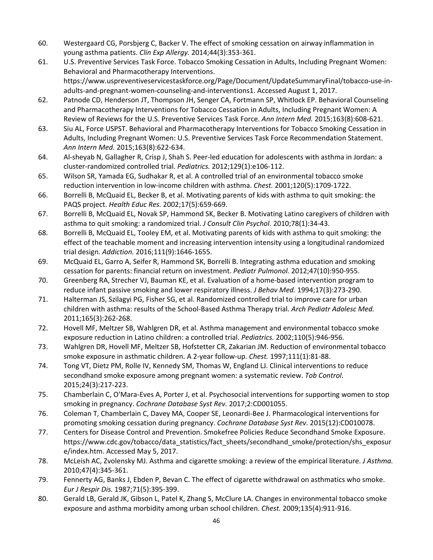- 60. Westergaard CG, Porsbjerg C, Backer V. The effect of smoking cessation on airway inflammation in young asthma patients. *Clin Exp Allergy.* 2014;44(3):353-361.
- 61. U.S. Preventive Services Task Force. Tobacco Smoking Cessation in Adults, Including Pregnant Women: Behavioral and Pharmacotherapy Interventions. https://www.uspreventiveservicestaskforce.org/Page/Document/UpdateSummaryFinal/tobacco-use-inadults-and-pregnant-women-counseling-and-interventions1. Accessed August 1, 2017.
- 62. Patnode CD, Henderson JT, Thompson JH, Senger CA, Fortmann SP, Whitlock EP. Behavioral Counseling and Pharmacotherapy Interventions for Tobacco Cessation in Adults, Including Pregnant Women: A Review of Reviews for the U.S. Preventive Services Task Force. *Ann Intern Med.* 2015;163(8):608-621.
- 63. Siu AL, Force USPST. Behavioral and Pharmacotherapy Interventions for Tobacco Smoking Cessation in Adults, Including Pregnant Women: U.S. Preventive Services Task Force Recommendation Statement. *Ann Intern Med.* 2015;163(8):622-634.
- 64. Al-sheyab N, Gallagher R, Crisp J, Shah S. Peer-led education for adolescents with asthma in Jordan: a cluster-randomized controlled trial. *Pediatrics.* 2012;129(1):e106-112.
- 65. Wilson SR, Yamada EG, Sudhakar R, et al. A controlled trial of an environmental tobacco smoke reduction intervention in low-income children with asthma. *Chest.* 2001;120(5):1709-1722.
- 66. Borrelli B, McQuaid EL, Becker B, et al. Motivating parents of kids with asthma to quit smoking: the PAQS project. *Health Educ Res.* 2002;17(5):659-669.
- 67. Borrelli B, McQuaid EL, Novak SP, Hammond SK, Becker B. Motivating Latino caregivers of children with asthma to quit smoking: a randomized trial. *J Consult Clin Psychol.* 2010;78(1):34-43.
- 68. Borrelli B, McQuaid EL, Tooley EM, et al. Motivating parents of kids with asthma to quit smoking: the effect of the teachable moment and increasing intervention intensity using a longitudinal randomized trial design. *Addiction.* 2016;111(9):1646-1655.
- 69. McQuaid EL, Garro A, Seifer R, Hammond SK, Borrelli B. Integrating asthma education and smoking cessation for parents: financial return on investment. *Pediatr Pulmonol.* 2012;47(10):950-955.
- 70. Greenberg RA, Strecher VJ, Bauman KE, et al. Evaluation of a home-based intervention program to reduce infant passive smoking and lower respiratory illness. *J Behav Med.* 1994;17(3):273-290.
- 71. Halterman JS, Szilagyi PG, Fisher SG, et al. Randomized controlled trial to improve care for urban children with asthma: results of the School-Based Asthma Therapy trial. *Arch Pediatr Adolesc Med.*  2011;165(3):262-268.
- 72. Hovell MF, Meltzer SB, Wahlgren DR, et al. Asthma management and environmental tobacco smoke exposure reduction in Latino children: a controlled trial. *Pediatrics.* 2002;110(5):946-956.
- 73. Wahlgren DR, Hovell MF, Meltzer SB, Hofstetter CR, Zakarian JM. Reduction of environmental tobacco smoke exposure in asthmatic children. A 2-year follow-up. *Chest.* 1997;111(1):81-88.
- 74. Tong VT, Dietz PM, Rolle IV, Kennedy SM, Thomas W, England LJ. Clinical interventions to reduce secondhand smoke exposure among pregnant women: a systematic review. *Tob Control.*  2015;24(3):217-223.
- 75. Chamberlain C, O'Mara-Eves A, Porter J, et al. Psychosocial interventions for supporting women to stop smoking in pregnancy. *Cochrane Database Syst Rev.* 2017;2:CD001055.
- 76. Coleman T, Chamberlain C, Davey MA, Cooper SE, Leonardi-Bee J. Pharmacological interventions for promoting smoking cessation during pregnancy. *Cochrane Database Syst Rev.* 2015(12):CD010078.
- 77. Centers for Disease Control and Prevention. Smokefree Policies Reduce Secondhand Smoke Exposure. https://www.cdc.gov/tobacco/data\_statistics/fact\_sheets/secondhand\_smoke/protection/shs\_exposur e/index.htm. Accessed May 5, 2017.
- 78. McLeish AC, Zvolensky MJ. Asthma and cigarette smoking: a review of the empirical literature. *J Asthma.*  2010;47(4):345-361.
- 79. Fennerty AG, Banks J, Ebden P, Bevan C. The effect of cigarette withdrawal on asthmatics who smoke. *Eur J Respir Dis.* 1987;71(5):395-399.
- 80. Gerald LB, Gerald JK, Gibson L, Patel K, Zhang S, McClure LA. Changes in environmental tobacco smoke exposure and asthma morbidity among urban school children. *Chest.* 2009;135(4):911-916.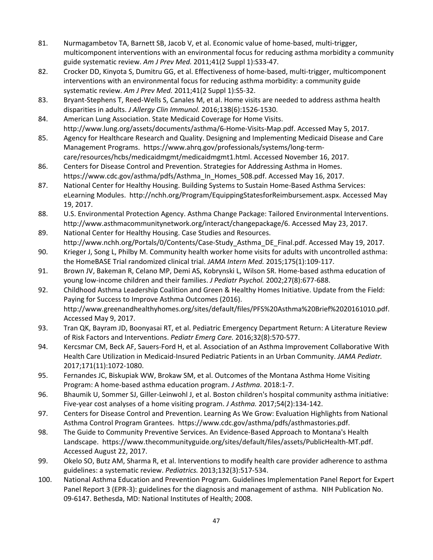- 81. Nurmagambetov TA, Barnett SB, Jacob V, et al. Economic value of home-based, multi-trigger, multicomponent interventions with an environmental focus for reducing asthma morbidity a community guide systematic review. *Am J Prev Med.* 2011;41(2 Suppl 1):S33-47.
- 82. Crocker DD, Kinyota S, Dumitru GG, et al. Effectiveness of home-based, multi-trigger, multicomponent interventions with an environmental focus for reducing asthma morbidity: a community guide systematic review. *Am J Prev Med.* 2011;41(2 Suppl 1):S5-32.
- 83. Bryant-Stephens T, Reed-Wells S, Canales M, et al. Home visits are needed to address asthma health disparities in adults. *J Allergy Clin Immunol.* 2016;138(6):1526-1530.
- 84. American Lung Association. State Medicaid Coverage for Home Visits. http://www.lung.org/assets/documents/asthma/6-Home-Visits-Map.pdf. Accessed May 5, 2017.
- 85. Agency for Healthcare Research and Quality. Designing and Implementing Medicaid Disease and Care Management Programs. https://www.ahrq.gov/professionals/systems/long-termcare/resources/hcbs/medicaidmgmt/medicaidmgmt1.html. Accessed November 16, 2017.
- 86. Centers for Disease Control and Prevention. Strategies for Addressing Asthma in Homes. https://www.cdc.gov/asthma/pdfs/Asthma\_In\_Homes\_508.pdf. Accessed May 16, 2017.
- 87. National Center for Healthy Housing. Building Systems to Sustain Home-Based Asthma Services: eLearning Modules. http://nchh.org/Program/EquippingStatesforReimbursement.aspx. Accessed May 19, 2017.
- 88. U.S. Environmental Protection Agency. Asthma Change Package: Tailored Environmental Interventions. http://www.asthmacommunitynetwork.org/interact/changepackage/6. Accessed May 23, 2017.
- 89. National Center for Healthy Housing. Case Studies and Resources. http://www.nchh.org/Portals/0/Contents/Case-Study\_Asthma\_DE\_Final.pdf. Accessed May 19, 2017.
- 90. Krieger J, Song L, Philby M. Community health worker home visits for adults with uncontrolled asthma: the HomeBASE Trial randomized clinical trial. *JAMA Intern Med.* 2015;175(1):109-117.
- 91. Brown JV, Bakeman R, Celano MP, Demi AS, Kobrynski L, Wilson SR. Home-based asthma education of young low-income children and their families. *J Pediatr Psychol.* 2002;27(8):677-688.
- 92. Childhood Asthma Leadership Coalition and Green & Healthy Homes Initiative. Update from the Field: Paying for Success to Improve Asthma Outcomes (2016). http://www.greenandhealthyhomes.org/sites/default/files/PFS%20Asthma%20Brief%2020161010.pdf. Accessed May 9, 2017.
- 93. Tran QK, Bayram JD, Boonyasai RT, et al. Pediatric Emergency Department Return: A Literature Review of Risk Factors and Interventions. *Pediatr Emerg Care.* 2016;32(8):570-577.
- 94. Kercsmar CM, Beck AF, Sauers-Ford H, et al. Association of an Asthma Improvement Collaborative With Health Care Utilization in Medicaid-Insured Pediatric Patients in an Urban Community. *JAMA Pediatr.*  2017;171(11):1072-1080.
- 95. Fernandes JC, Biskupiak WW, Brokaw SM, et al. Outcomes of the Montana Asthma Home Visiting Program: A home-based asthma education program. *J Asthma.* 2018:1-7.
- 96. Bhaumik U, Sommer SJ, Giller-Leinwohl J, et al. Boston children's hospital community asthma initiative: Five-year cost analyses of a home visiting program. *J Asthma.* 2017;54(2):134-142.
- 97. Centers for Disease Control and Prevention. Learning As We Grow: Evaluation Highlights from National Asthma Control Program Grantees. https://www.cdc.gov/asthma/pdfs/asthmastories.pdf.
- 98. The Guide to Community Preventive Services. An Evidence-Based Approach to Montana's Health Landscape. https://www.thecommunityguide.org/sites/default/files/assets/PublicHealth-MT.pdf. Accessed August 22, 2017.
- 99. Okelo SO, Butz AM, Sharma R, et al. Interventions to modify health care provider adherence to asthma guidelines: a systematic review. *Pediatrics.* 2013;132(3):517-534.
- 100. National Asthma Education and Prevention Program. Guidelines Implementation Panel Report for Expert Panel Report 3 (EPR-3): guidelines for the diagnosis and management of asthma. NIH Publication No. 09-6147. Bethesda, MD: National Institutes of Health; 2008.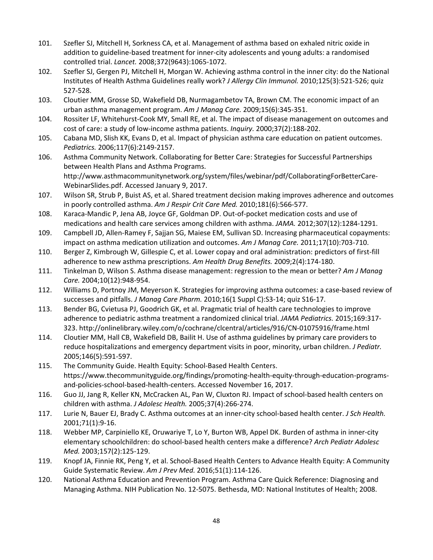- 101. Szefler SJ, Mitchell H, Sorkness CA, et al. Management of asthma based on exhaled nitric oxide in addition to guideline-based treatment for inner-city adolescents and young adults: a randomised controlled trial. *Lancet.* 2008;372(9643):1065-1072.
- 102. Szefler SJ, Gergen PJ, Mitchell H, Morgan W. Achieving asthma control in the inner city: do the National Institutes of Health Asthma Guidelines really work? *J Allergy Clin Immunol.* 2010;125(3):521-526; quiz 527-528.
- 103. Cloutier MM, Grosse SD, Wakefield DB, Nurmagambetov TA, Brown CM. The economic impact of an urban asthma management program. *Am J Manag Care.* 2009;15(6):345-351.
- 104. Rossiter LF, Whitehurst-Cook MY, Small RE, et al. The impact of disease management on outcomes and cost of care: a study of low-income asthma patients. *Inquiry.* 2000;37(2):188-202.
- 105. Cabana MD, Slish KK, Evans D, et al. Impact of physician asthma care education on patient outcomes. *Pediatrics.* 2006;117(6):2149-2157.
- 106. Asthma Community Network. Collaborating for Better Care: Strategies for Successful Partnerships between Health Plans and Asthma Programs. http://www.asthmacommunitynetwork.org/system/files/webinar/pdf/CollaboratingForBetterCare-WebinarSlides.pdf. Accessed January 9, 2017.
- 107. Wilson SR, Strub P, Buist AS, et al. Shared treatment decision making improves adherence and outcomes in poorly controlled asthma. *Am J Respir Crit Care Med.* 2010;181(6):566-577.
- 108. Karaca-Mandic P, Jena AB, Joyce GF, Goldman DP. Out-of-pocket medication costs and use of medications and health care services among children with asthma. *JAMA.* 2012;307(12):1284-1291.
- 109. Campbell JD, Allen-Ramey F, Sajjan SG, Maiese EM, Sullivan SD. Increasing pharmaceutical copayments: impact on asthma medication utilization and outcomes. *Am J Manag Care.* 2011;17(10):703-710.
- 110. Berger Z, Kimbrough W, Gillespie C, et al. Lower copay and oral administration: predictors of first-fill adherence to new asthma prescriptions. *Am Health Drug Benefits.* 2009;2(4):174-180.
- 111. Tinkelman D, Wilson S. Asthma disease management: regression to the mean or better? *Am J Manag Care.* 2004;10(12):948-954.
- 112. Williams D, Portnoy JM, Meyerson K. Strategies for improving asthma outcomes: a case-based review of successes and pitfalls. *J Manag Care Pharm.* 2010;16(1 Suppl C):S3-14; quiz S16-17.
- 113. Bender BG, Cvietusa PJ, Goodrich GK, et al. Pragmatic trial of health care technologies to improve adherence to pediatric asthma treatment a randomized clinical trial. *JAMA Pediatrics.* 2015;169:317- 323. http://onlinelibrary.wiley.com/o/cochrane/clcentral/articles/916/CN-01075916/frame.html
- 114. Cloutier MM, Hall CB, Wakefield DB, Bailit H. Use of asthma guidelines by primary care providers to reduce hospitalizations and emergency department visits in poor, minority, urban children. *J Pediatr.*  2005;146(5):591-597.
- 115. The Community Guide. Health Equity: School-Based Health Centers. https://www.thecommunityguide.org/findings/promoting-health-equity-through-education-programsand-policies-school-based-health-centers. Accessed November 16, 2017.
- 116. Guo JJ, Jang R, Keller KN, McCracken AL, Pan W, Cluxton RJ. Impact of school-based health centers on children with asthma. *J Adolesc Health.* 2005;37(4):266-274.
- 117. Lurie N, Bauer EJ, Brady C. Asthma outcomes at an inner-city school-based health center. *J Sch Health.*  2001;71(1):9-16.
- 118. Webber MP, Carpiniello KE, Oruwariye T, Lo Y, Burton WB, Appel DK. Burden of asthma in inner-city elementary schoolchildren: do school-based health centers make a difference? *Arch Pediatr Adolesc Med.* 2003;157(2):125-129.
- 119. Knopf JA, Finnie RK, Peng Y, et al. School-Based Health Centers to Advance Health Equity: A Community Guide Systematic Review. *Am J Prev Med.* 2016;51(1):114-126.
- 120. National Asthma Education and Prevention Program. Asthma Care Quick Reference: Diagnosing and Managing Asthma. NIH Publication No. 12-5075. Bethesda, MD: National Institutes of Health; 2008.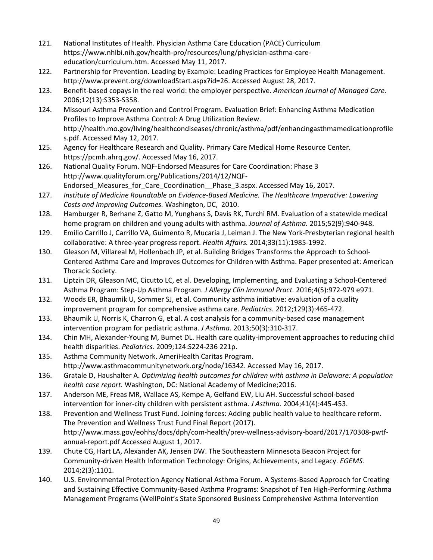- 121. National Institutes of Health. Physician Asthma Care Education (PACE) Curriculum https://www.nhlbi.nih.gov/health-pro/resources/lung/physician-asthma-careeducation/curriculum.htm. Accessed May 11, 2017.
- 122. Partnership for Prevention. Leading by Example: Leading Practices for Employee Health Management. http://www.prevent.org/downloadStart.aspx?id=26. Accessed August 28, 2017.
- 123. Benefit-based copays in the real world: the employer perspective. *American Journal of Managed Care.*  2006;12(13):S353-S358.
- 124. Missouri Asthma Prevention and Control Program. Evaluation Brief: Enhancing Asthma Medication Profiles to Improve Asthma Control: A Drug Utilization Review. http://health.mo.gov/living/healthcondiseases/chronic/asthma/pdf/enhancingasthmamedicationprofile s.pdf. Accessed May 12, 2017.
- 125. Agency for Healthcare Research and Quality. Primary Care Medical Home Resource Center. https://pcmh.ahrq.gov/. Accessed May 16, 2017.
- 126. National Quality Forum. NQF-Endorsed Measures for Care Coordination: Phase 3 http://www.qualityforum.org/Publications/2014/12/NQF-Endorsed Measures for Care Coordination Phase 3.aspx. Accessed May 16, 2017.
- 127. *Institute of Medicine Roundtable on Evidence-Based Medicine. The Healthcare Imperative: Lowering Costs and Improving Outcomes.* Washington, DC, 2010.
- 128. Hamburger R, Berhane Z, Gatto M, Yunghans S, Davis RK, Turchi RM. Evaluation of a statewide medical home program on children and young adults with asthma. *Journal of Asthma.* 2015;52(9):940-948.
- 129. Emilio Carrillo J, Carrillo VA, Guimento R, Mucaria J, Leiman J. The New York-Presbyterian regional health collaborative: A three-year progress report. *Health Affairs.* 2014;33(11):1985-1992.
- 130. Gleason M, Villareal M, Hollenbach JP, et al. Building Bridges Transforms the Approach to School-Centered Asthma Care and Improves Outcomes for Children with Asthma. Paper presented at: American Thoracic Society.
- 131. Liptzin DR, Gleason MC, Cicutto LC, et al. Developing, Implementing, and Evaluating a School-Centered Asthma Program: Step-Up Asthma Program. *J Allergy Clin Immunol Pract.* 2016;4(5):972-979 e971.
- 132. Woods ER, Bhaumik U, Sommer SJ, et al. Community asthma initiative: evaluation of a quality improvement program for comprehensive asthma care. *Pediatrics.* 2012;129(3):465-472.
- 133. Bhaumik U, Norris K, Charron G, et al. A cost analysis for a community-based case management intervention program for pediatric asthma. *J Asthma.* 2013;50(3):310-317.
- 134. Chin MH, Alexander-Young M, Burnet DL. Health care quality-improvement approaches to reducing child health disparities. *Pediatrics.* 2009;124:S224-236 221p.
- 135. Asthma Community Network. AmeriHealth Caritas Program. http://www.asthmacommunitynetwork.org/node/16342. Accessed May 16, 2017.
- 136. Gratale D, Haushalter A. *Optimizing health outcomes for children with asthma in Delaware: A population health case report.* Washington, DC: National Academy of Medicine;2016.
- 137. Anderson ME, Freas MR, Wallace AS, Kempe A, Gelfand EW, Liu AH. Successful school-based intervention for inner-city children with persistent asthma. *J Asthma.* 2004;41(4):445-453.
- 138. Prevention and Wellness Trust Fund. Joining forces: Adding public health value to healthcare reform. The Prevention and Wellness Trust Fund Final Report (2017). http://www.mass.gov/eohhs/docs/dph/com-health/prev-wellness-advisory-board/2017/170308-pwtfannual-report.pdf Accessed August 1, 2017.
- 139. Chute CG, Hart LA, Alexander AK, Jensen DW. The Southeastern Minnesota Beacon Project for Community-driven Health Information Technology: Origins, Achievements, and Legacy. *EGEMS.*  2014;2(3):1101.
- 140. U.S. Environmental Protection Agency National Asthma Forum. A Systems-Based Approach for Creating and Sustaining Effective Community-Based Asthma Programs: Snapshot of Ten High-Performing Asthma Management Programs (WellPoint's State Sponsored Business Comprehensive Asthma Intervention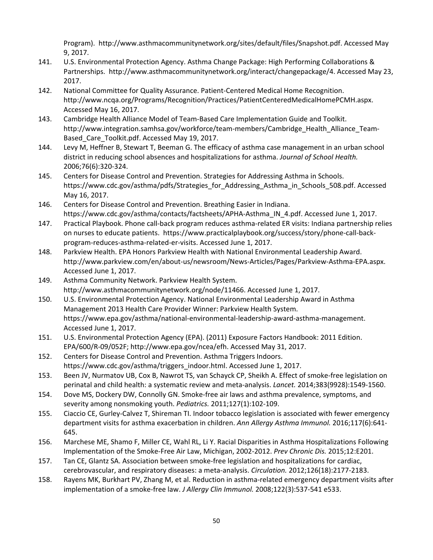Program). http://www.asthmacommunitynetwork.org/sites/default/files/Snapshot.pdf. Accessed May 9, 2017.

- 141. U.S. Environmental Protection Agency. Asthma Change Package: High Performing Collaborations & Partnerships. http://www.asthmacommunitynetwork.org/interact/changepackage/4. Accessed May 23, 2017.
- 142. National Committee for Quality Assurance. Patient-Centered Medical Home Recognition. http://www.ncqa.org/Programs/Recognition/Practices/PatientCenteredMedicalHomePCMH.aspx. Accessed May 16, 2017.
- 143. Cambridge Health Alliance Model of Team-Based Care Implementation Guide and Toolkit. http://www.integration.samhsa.gov/workforce/team-members/Cambridge\_Health\_Alliance\_Team-Based\_Care\_Toolkit.pdf. Accessed May 19, 2017.
- 144. Levy M, Heffner B, Stewart T, Beeman G. The efficacy of asthma case management in an urban school district in reducing school absences and hospitalizations for asthma. *Journal of School Health.*  2006;76(6):320-324.
- 145. Centers for Disease Control and Prevention. Strategies for Addressing Asthma in Schools. https://www.cdc.gov/asthma/pdfs/Strategies\_for\_Addressing\_Asthma\_in\_Schools\_508.pdf. Accessed May 16, 2017.
- 146. Centers for Disease Control and Prevention. Breathing Easier in Indiana. https://www.cdc.gov/asthma/contacts/factsheets/APHA-Asthma IN 4.pdf. Accessed June 1, 2017.
- 147. Practical Playbook. Phone call-back program reduces asthma-related ER visits: Indiana partnership relies on nurses to educate patients. https://www.practicalplaybook.org/success/story/phone-call-backprogram-reduces-asthma-related-er-visits. Accessed June 1, 2017.
- 148. Parkview Health. EPA Honors Parkview Health with National Environmental Leadership Award. http://www.parkview.com/en/about-us/newsroom/News-Articles/Pages/Parkview-Asthma-EPA.aspx. Accessed June 1, 2017.
- 149. Asthma Community Network. Parkview Health System. http://www.asthmacommunitynetwork.org/node/11466. Accessed June 1, 2017.
- 150. U.S. Environmental Protection Agency. National Environmental Leadership Award in Asthma Management 2013 Health Care Provider Winner: Parkview Health System. https://www.epa.gov/asthma/national-environmental-leadership-award-asthma-management. Accessed June 1, 2017.
- 151. U.S. Environmental Protection Agency (EPA). (2011) Exposure Factors Handbook: 2011 Edition. EPA/600/R-09/052F; http://www.epa.gov/ncea/efh. Accessed May 31, 2017.
- 152. Centers for Disease Control and Prevention. Asthma Triggers Indoors. https://www.cdc.gov/asthma/triggers\_indoor.html. Accessed June 1, 2017.
- 153. Been JV, Nurmatov UB, Cox B, Nawrot TS, van Schayck CP, Sheikh A. Effect of smoke-free legislation on perinatal and child health: a systematic review and meta-analysis. *Lancet.* 2014;383(9928):1549-1560.
- 154. Dove MS, Dockery DW, Connolly GN. Smoke-free air laws and asthma prevalence, symptoms, and severity among nonsmoking youth. *Pediatrics.* 2011;127(1):102-109.
- 155. Ciaccio CE, Gurley-Calvez T, Shireman TI. Indoor tobacco legislation is associated with fewer emergency department visits for asthma exacerbation in children. *Ann Allergy Asthma Immunol.* 2016;117(6):641- 645.
- 156. Marchese ME, Shamo F, Miller CE, Wahl RL, Li Y. Racial Disparities in Asthma Hospitalizations Following Implementation of the Smoke-Free Air Law, Michigan, 2002-2012. *Prev Chronic Dis.* 2015;12:E201.
- 157. Tan CE, Glantz SA. Association between smoke-free legislation and hospitalizations for cardiac, cerebrovascular, and respiratory diseases: a meta-analysis. *Circulation.* 2012;126(18):2177-2183.
- 158. Rayens MK, Burkhart PV, Zhang M, et al. Reduction in asthma-related emergency department visits after implementation of a smoke-free law. *J Allergy Clin Immunol.* 2008;122(3):537-541 e533.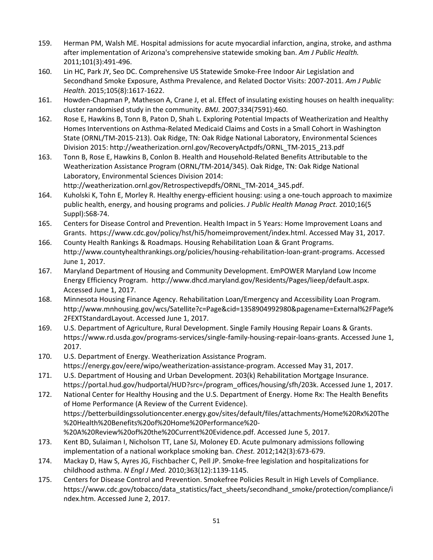- 159. Herman PM, Walsh ME. Hospital admissions for acute myocardial infarction, angina, stroke, and asthma after implementation of Arizona's comprehensive statewide smoking ban. *Am J Public Health.*  2011;101(3):491-496.
- 160. Lin HC, Park JY, Seo DC. Comprehensive US Statewide Smoke-Free Indoor Air Legislation and Secondhand Smoke Exposure, Asthma Prevalence, and Related Doctor Visits: 2007-2011. *Am J Public Health.* 2015;105(8):1617-1622.
- 161. Howden-Chapman P, Matheson A, Crane J, et al. Effect of insulating existing houses on health inequality: cluster randomised study in the community. *BMJ.* 2007;334(7591):460.
- 162. Rose E, Hawkins B, Tonn B, Paton D, Shah L. Exploring Potential Impacts of Weatherization and Healthy Homes Interventions on Asthma-Related Medicaid Claims and Costs in a Small Cohort in Washington State (ORNL/TM-2015-213). Oak Ridge, TN: Oak Ridge National Laboratory, Environmental Sciences Division 2015: http://weatherization.ornl.gov/RecoveryActpdfs/ORNL\_TM-2015\_213.pdf
- 163. Tonn B, Rose E, Hawkins B, Conlon B. Health and Household-Related Benefits Attributable to the Weatherization Assistance Program (ORNL/TM-2014/345). Oak Ridge, TN: Oak Ridge National Laboratory, Environmental Sciences Division 2014:

http://weatherization.ornl.gov/Retrospectivepdfs/ORNL\_TM-2014\_345.pdf.

- 164. Kuholski K, Tohn E, Morley R. Healthy energy-efficient housing: using a one-touch approach to maximize public health, energy, and housing programs and policies. *J Public Health Manag Pract.* 2010;16(5 Suppl):S68-74.
- 165. Centers for Disease Control and Prevention. Health Impact in 5 Years: Home Improvement Loans and Grants. https://www.cdc.gov/policy/hst/hi5/homeimprovement/index.html. Accessed May 31, 2017.
- 166. County Health Rankings & Roadmaps. Housing Rehabilitation Loan & Grant Programs. http://www.countyhealthrankings.org/policies/housing-rehabilitation-loan-grant-programs. Accessed June 1, 2017.
- 167. Maryland Department of Housing and Community Development. EmPOWER Maryland Low Income Energy Efficiency Program. http://www.dhcd.maryland.gov/Residents/Pages/lieep/default.aspx. Accessed June 1, 2017.
- 168. Minnesota Housing Finance Agency. Rehabilitation Loan/Emergency and Accessibility Loan Program. http://www.mnhousing.gov/wcs/Satellite?c=Page&cid=1358904992980&pagename=External%2FPage% 2FEXTStandardLayout. Accessed June 1, 2017.
- 169. U.S. Department of Agriculture, Rural Development. Single Family Housing Repair Loans & Grants. https://www.rd.usda.gov/programs-services/single-family-housing-repair-loans-grants. Accessed June 1, 2017.
- 170. U.S. Department of Energy. Weatherization Assistance Program. https://energy.gov/eere/wipo/weatherization-assistance-program. Accessed May 31, 2017.
- 171. U.S. Department of Housing and Urban Development. 203(k) Rehabilitation Mortgage Insurance. https://portal.hud.gov/hudportal/HUD?src=/program\_offices/housing/sfh/203k. Accessed June 1, 2017.

172. National Center for Healthy Housing and the U.S. Department of Energy. Home Rx: The Health Benefits of Home Performance (A Review of the Current Evidence). https://betterbuildingssolutioncenter.energy.gov/sites/default/files/attachments/Home%20Rx%20The %20Health%20Benefits%20of%20Home%20Performance%20- %20A%20Review%20of%20the%20Current%20Evidence.pdf. Accessed June 5, 2017.

- 173. Kent BD, Sulaiman I, Nicholson TT, Lane SJ, Moloney ED. Acute pulmonary admissions following implementation of a national workplace smoking ban. *Chest.* 2012;142(3):673-679.
- 174. Mackay D, Haw S, Ayres JG, Fischbacher C, Pell JP. Smoke-free legislation and hospitalizations for childhood asthma. *N Engl J Med.* 2010;363(12):1139-1145.
- 175. Centers for Disease Control and Prevention. Smokefree Policies Result in High Levels of Compliance. https://www.cdc.gov/tobacco/data\_statistics/fact\_sheets/secondhand\_smoke/protection/compliance/i ndex.htm. Accessed June 2, 2017.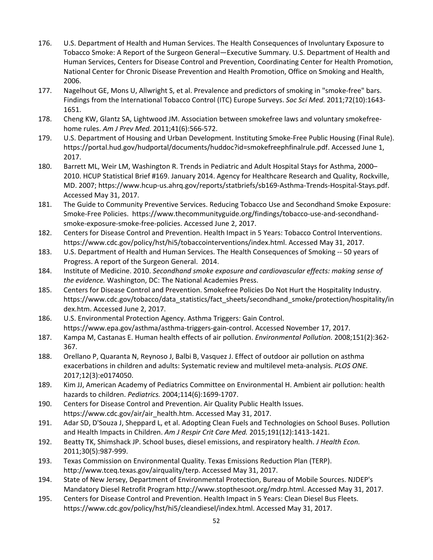- 176. U.S. Department of Health and Human Services. The Health Consequences of Involuntary Exposure to Tobacco Smoke: A Report of the Surgeon General—Executive Summary. U.S. Department of Health and Human Services, Centers for Disease Control and Prevention, Coordinating Center for Health Promotion, National Center for Chronic Disease Prevention and Health Promotion, Office on Smoking and Health, 2006.
- 177. Nagelhout GE, Mons U, Allwright S, et al. Prevalence and predictors of smoking in "smoke-free" bars. Findings from the International Tobacco Control (ITC) Europe Surveys. *Soc Sci Med.* 2011;72(10):1643- 1651.
- 178. Cheng KW, Glantz SA, Lightwood JM. Association between smokefree laws and voluntary smokefreehome rules. *Am J Prev Med.* 2011;41(6):566-572.
- 179. U.S. Department of Housing and Urban Development. Instituting Smoke-Free Public Housing (Final Rule). https://portal.hud.gov/hudportal/documents/huddoc?id=smokefreephfinalrule.pdf. Accessed June 1, 2017.
- 180. Barrett ML, Weir LM, Washington R. Trends in Pediatric and Adult Hospital Stays for Asthma, 2000– 2010. HCUP Statistical Brief #169. January 2014. Agency for Healthcare Research and Quality, Rockville, MD. 2007; https://www.hcup-us.ahrq.gov/reports/statbriefs/sb169-Asthma-Trends-Hospital-Stays.pdf. Accessed May 31, 2017.
- 181. The Guide to Community Preventive Services. Reducing Tobacco Use and Secondhand Smoke Exposure: Smoke-Free Policies. https://www.thecommunityguide.org/findings/tobacco-use-and-secondhandsmoke-exposure-smoke-free-policies. Accessed June 2, 2017.
- 182. Centers for Disease Control and Prevention. Health Impact in 5 Years: Tobacco Control Interventions. https://www.cdc.gov/policy/hst/hi5/tobaccointerventions/index.html. Accessed May 31, 2017.
- 183. U.S. Department of Health and Human Services. The Health Consequences of Smoking -- 50 years of Progress. A report of the Surgeon General. 2014.
- 184. Institute of Medicine. 2010. *Secondhand smoke exposure and cardiovascular effects: making sense of the evidence.* Washington, DC: The National Academies Press.
- 185. Centers for Disease Control and Prevention. Smokefree Policies Do Not Hurt the Hospitality Industry. https://www.cdc.gov/tobacco/data\_statistics/fact\_sheets/secondhand\_smoke/protection/hospitality/in dex.htm. Accessed June 2, 2017.
- 186. U.S. Environmental Protection Agency. Asthma Triggers: Gain Control. https://www.epa.gov/asthma/asthma-triggers-gain-control. Accessed November 17, 2017.
- 187. Kampa M, Castanas E. Human health effects of air pollution. *Environmental Pollution.* 2008;151(2):362- 367.
- 188. Orellano P, Quaranta N, Reynoso J, Balbi B, Vasquez J. Effect of outdoor air pollution on asthma exacerbations in children and adults: Systematic review and multilevel meta-analysis. *PLOS ONE.*  2017;12(3):e0174050.
- 189. Kim JJ, American Academy of Pediatrics Committee on Environmental H. Ambient air pollution: health hazards to children. *Pediatrics.* 2004;114(6):1699-1707.
- 190. Centers for Disease Control and Prevention. Air Quality Public Health Issues. https://www.cdc.gov/air/air\_health.htm. Accessed May 31, 2017.
- 191. Adar SD, D'Souza J, Sheppard L, et al. Adopting Clean Fuels and Technologies on School Buses. Pollution and Health Impacts in Children. *Am J Respir Crit Care Med.* 2015;191(12):1413-1421.
- 192. Beatty TK, Shimshack JP. School buses, diesel emissions, and respiratory health. *J Health Econ.*  2011;30(5):987-999.
- 193. Texas Commission on Environmental Quality. Texas Emissions Reduction Plan (TERP). http://www.tceq.texas.gov/airquality/terp. Accessed May 31, 2017.
- 194. State of New Jersey, Department of Environmental Protection, Bureau of Mobile Sources. NJDEP's Mandatory Diesel Retrofit Program http://www.stopthesoot.org/mdrp.html. Accessed May 31, 2017.
- 195. Centers for Disease Control and Prevention. Health Impact in 5 Years: Clean Diesel Bus Fleets. https://www.cdc.gov/policy/hst/hi5/cleandiesel/index.html. Accessed May 31, 2017.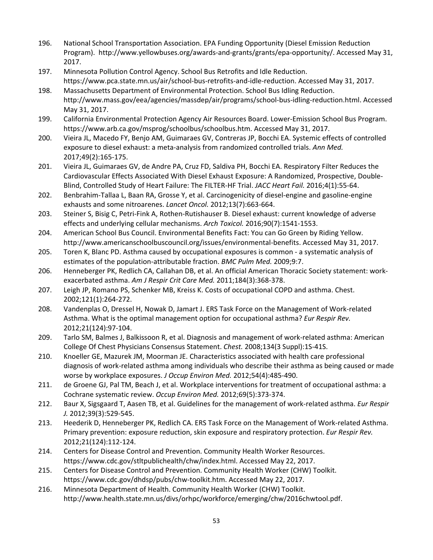- 196. National School Transportation Association. EPA Funding Opportunity (Diesel Emission Reduction Program). http://www.yellowbuses.org/awards-and-grants/grants/epa-opportunity/. Accessed May 31, 2017.
- 197. Minnesota Pollution Control Agency. School Bus Retrofits and Idle Reduction. https://www.pca.state.mn.us/air/school-bus-retrofits-and-idle-reduction. Accessed May 31, 2017.
- 198. Massachusetts Department of Environmental Protection. School Bus Idling Reduction. http://www.mass.gov/eea/agencies/massdep/air/programs/school-bus-idling-reduction.html. Accessed May 31, 2017.
- 199. California Environmental Protection Agency Air Resources Board. Lower-Emission School Bus Program. https://www.arb.ca.gov/msprog/schoolbus/schoolbus.htm. Accessed May 31, 2017.
- 200. Vieira JL, Macedo FY, Benjo AM, Guimaraes GV, Contreras JP, Bocchi EA. Systemic effects of controlled exposure to diesel exhaust: a meta-analysis from randomized controlled trials. *Ann Med.*  2017;49(2):165-175.
- 201. Vieira JL, Guimaraes GV, de Andre PA, Cruz FD, Saldiva PH, Bocchi EA. Respiratory Filter Reduces the Cardiovascular Effects Associated With Diesel Exhaust Exposure: A Randomized, Prospective, Double-Blind, Controlled Study of Heart Failure: The FILTER-HF Trial. *JACC Heart Fail.* 2016;4(1):55-64.
- 202. Benbrahim-Tallaa L, Baan RA, Grosse Y, et al. Carcinogenicity of diesel-engine and gasoline-engine exhausts and some nitroarenes. *Lancet Oncol.* 2012;13(7):663-664.
- 203. Steiner S, Bisig C, Petri-Fink A, Rothen-Rutishauser B. Diesel exhaust: current knowledge of adverse effects and underlying cellular mechanisms. *Arch Toxicol.* 2016;90(7):1541-1553.
- 204. American School Bus Council. Environmental Benefits Fact: You can Go Green by Riding Yellow. http://www.americanschoolbuscouncil.org/issues/environmental-benefits. Accessed May 31, 2017.
- 205. Toren K, Blanc PD. Asthma caused by occupational exposures is common a systematic analysis of estimates of the population-attributable fraction. *BMC Pulm Med.* 2009;9:7.
- 206. Henneberger PK, Redlich CA, Callahan DB, et al. An official American Thoracic Society statement: workexacerbated asthma. *Am J Respir Crit Care Med.* 2011;184(3):368-378.
- 207. Leigh JP, Romano PS, Schenker MB, Kreiss K. Costs of occupational COPD and asthma. Chest. 2002;121(1):264-272.
- 208. Vandenplas O, Dressel H, Nowak D, Jamart J. ERS Task Force on the Management of Work-related Asthma. What is the optimal management option for occupational asthma? *Eur Respir Rev.*  2012;21(124):97-104.
- 209. Tarlo SM, Balmes J, Balkissoon R, et al. Diagnosis and management of work-related asthma: American College Of Chest Physicians Consensus Statement. *Chest.* 2008;134(3 Suppl):1S-41S.
- 210. Knoeller GE, Mazurek JM, Moorman JE. Characteristics associated with health care professional diagnosis of work-related asthma among individuals who describe their asthma as being caused or made worse by workplace exposures. *J Occup Environ Med.* 2012;54(4):485-490.
- 211. de Groene GJ, Pal TM, Beach J, et al. Workplace interventions for treatment of occupational asthma: a Cochrane systematic review. *Occup Environ Med.* 2012;69(5):373-374.
- 212. Baur X, Sigsgaard T, Aasen TB, et al. Guidelines for the management of work-related asthma. *Eur Respir J.* 2012;39(3):529-545.
- 213. Heederik D, Henneberger PK, Redlich CA. ERS Task Force on the Management of Work-related Asthma. Primary prevention: exposure reduction, skin exposure and respiratory protection. *Eur Respir Rev.*  2012;21(124):112-124.
- 214. Centers for Disease Control and Prevention. Community Health Worker Resources. https://www.cdc.gov/stltpublichealth/chw/index.html. Accessed May 22, 2017.
- 215. Centers for Disease Control and Prevention. Community Health Worker (CHW) Toolkit. https://www.cdc.gov/dhdsp/pubs/chw-toolkit.htm. Accessed May 22, 2017.
- 216. Minnesota Department of Health. Community Health Worker (CHW) Toolkit. http://www.health.state.mn.us/divs/orhpc/workforce/emerging/chw/2016chwtool.pdf.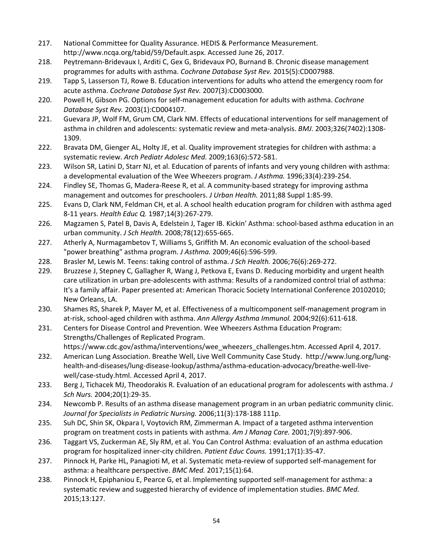- 217. National Committee for Quality Assurance. HEDIS & Performance Measurement. http://www.ncqa.org/tabid/59/Default.aspx. Accessed June 26, 2017.
- 218. Peytremann-Bridevaux I, Arditi C, Gex G, Bridevaux PO, Burnand B. Chronic disease management programmes for adults with asthma. *Cochrane Database Syst Rev.* 2015(5):CD007988.
- 219. Tapp S, Lasserson TJ, Rowe B. Education interventions for adults who attend the emergency room for acute asthma. *Cochrane Database Syst Rev.* 2007(3):CD003000.
- 220. Powell H, Gibson PG. Options for self-management education for adults with asthma. *Cochrane Database Syst Rev.* 2003(1):CD004107.
- 221. Guevara JP, Wolf FM, Grum CM, Clark NM. Effects of educational interventions for self management of asthma in children and adolescents: systematic review and meta-analysis. *BMJ.* 2003;326(7402):1308- 1309.
- 222. Bravata DM, Gienger AL, Holty JE, et al. Quality improvement strategies for children with asthma: a systematic review. *Arch Pediatr Adolesc Med.* 2009;163(6):572-581.
- 223. Wilson SR, Latini D, Starr NJ, et al. Education of parents of infants and very young children with asthma: a developmental evaluation of the Wee Wheezers program. *J Asthma.* 1996;33(4):239-254.
- 224. Findley SE, Thomas G, Madera-Reese R, et al. A community-based strategy for improving asthma management and outcomes for preschoolers. *J Urban Health.* 2011;88 Suppl 1:85-99.
- 225. Evans D, Clark NM, Feldman CH, et al. A school health education program for children with asthma aged 8-11 years. *Health Educ Q.* 1987;14(3):267-279.
- 226. Magzamen S, Patel B, Davis A, Edelstein J, Tager IB. Kickin' Asthma: school-based asthma education in an urban community. *J Sch Health.* 2008;78(12):655-665.
- 227. Atherly A, Nurmagambetov T, Williams S, Griffith M. An economic evaluation of the school-based "power breathing" asthma program. *J Asthma.* 2009;46(6):596-599.
- 228. Brasler M, Lewis M. Teens: taking control of asthma. *J Sch Health.* 2006;76(6):269-272.
- 229. Bruzzese J, Stepney C, Gallagher R, Wang J, Petkova E, Evans D. Reducing morbidity and urgent health care utilization in urban pre-adolescents with asthma: Results of a randomized control trial of asthma: It's a family affair. Paper presented at: American Thoracic Society International Conference 20102010; New Orleans, LA.
- 230. Shames RS, Sharek P, Mayer M, et al. Effectiveness of a multicomponent self-management program in at-risk, school-aged children with asthma. *Ann Allergy Asthma Immunol.* 2004;92(6):611-618.
- 231. Centers for Disease Control and Prevention. Wee Wheezers Asthma Education Program: Strengths/Challenges of Replicated Program. https://www.cdc.gov/asthma/interventions/wee\_wheezers\_challenges.htm. Accessed April 4, 2017.
- 232. American Lung Association. Breathe Well, Live Well Community Case Study. http://www.lung.org/lunghealth-and-diseases/lung-disease-lookup/asthma/asthma-education-advocacy/breathe-well-livewell/case-study.html. Accessed April 4, 2017.
- 233. Berg J, Tichacek MJ, Theodorakis R. Evaluation of an educational program for adolescents with asthma. *J Sch Nurs.* 2004;20(1):29-35.
- 234. Newcomb P. Results of an asthma disease management program in an urban pediatric community clinic. *Journal for Specialists in Pediatric Nursing.* 2006;11(3):178-188 111p.
- 235. Suh DC, Shin SK, Okpara I, Voytovich RM, Zimmerman A. Impact of a targeted asthma intervention program on treatment costs in patients with asthma. *Am J Manag Care.* 2001;7(9):897-906.
- 236. Taggart VS, Zuckerman AE, Sly RM, et al. You Can Control Asthma: evaluation of an asthma education program for hospitalized inner-city children. *Patient Educ Couns.* 1991;17(1):35-47.
- 237. Pinnock H, Parke HL, Panagioti M, et al. Systematic meta-review of supported self-management for asthma: a healthcare perspective. *BMC Med.* 2017;15(1):64.
- 238. Pinnock H, Epiphaniou E, Pearce G, et al. Implementing supported self-management for asthma: a systematic review and suggested hierarchy of evidence of implementation studies. *BMC Med.*  2015;13:127.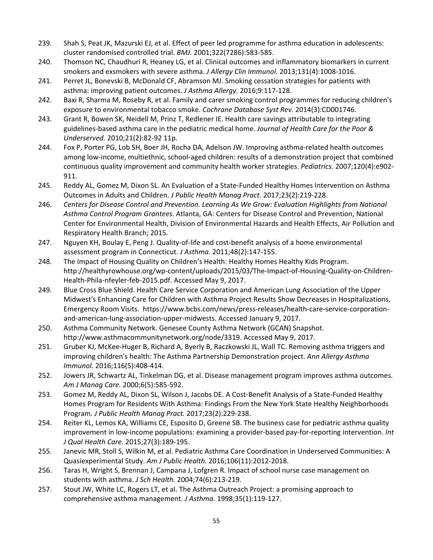- 239. Shah S, Peat JK, Mazurski EJ, et al. Effect of peer led programme for asthma education in adolescents: cluster randomised controlled trial. *BMJ.* 2001;322(7286):583-585.
- 240. Thomson NC, Chaudhuri R, Heaney LG, et al. Clinical outcomes and inflammatory biomarkers in current smokers and exsmokers with severe asthma. *J Allergy Clin Immunol.* 2013;131(4):1008-1016.
- 241. Perret JL, Bonevski B, McDonald CF, Abramson MJ. Smoking cessation strategies for patients with asthma: improving patient outcomes. *J Asthma Allergy.* 2016;9:117-128.
- 242. Baxi R, Sharma M, Roseby R, et al. Family and carer smoking control programmes for reducing children's exposure to environmental tobacco smoke. *Cochrane Database Syst Rev.* 2014(3):CD001746.
- 243. Grant R, Bowen SK, Neidell M, Prinz T, Redlener IE. Health care savings attributable to integrating guidelines-based asthma care in the pediatric medical home. *Journal of Health Care for the Poor & Underserved.* 2010;21(2):82-92 11p.
- 244. Fox P, Porter PG, Lob SH, Boer JH, Rocha DA, Adelson JW. Improving asthma-related health outcomes among low-income, multiethnic, school-aged children: results of a demonstration project that combined continuous quality improvement and community health worker strategies. *Pediatrics.* 2007;120(4):e902- 911.
- 245. Reddy AL, Gomez M, Dixon SL. An Evaluation of a State-Funded Healthy Homes Intervention on Asthma Outcomes in Adults and Children. *J Public Health Manag Pract.* 2017;23(2):219-228.
- 246. *Centers for Disease Control and Prevention. Learning As We Grow: Evaluation Highlights from National Asthma Control Program Grantees.* Atlanta, GA: Centers for Disease Control and Prevention, National Center for Environmental Health, Division of Environmental Hazards and Health Effects, Air Pollution and Respiratory Health Branch; 2015.
- 247. Nguyen KH, Boulay E, Peng J. Quality-of-life and cost-benefit analysis of a home environmental assessment program in Connecticut. *J Asthma.* 2011;48(2):147-155.
- 248. The Impact of Housing Quality on Children's Health: Healthy Homes Healthy Kids Program. http://healthyrowhouse.org/wp-content/uploads/2015/03/The-Impact-of-Housing-Quality-on-Children-Health-Phila-nfeyler-feb-2015.pdf. Accessed May 9, 2017.
- 249. Blue Cross Blue Shield. Health Care Service Corporation and American Lung Association of the Upper Midwest's Enhancing Care for Children with Asthma Project Results Show Decreases in Hospitalizations, Emergency Room Visits. https://www.bcbs.com/news/press-releases/health-care-service-corporationand-american-lung-association-upper-midwests. Accessed January 9, 2017.
- 250. Asthma Community Network. Genesee County Asthma Network (GCAN) Snapshot. http://www.asthmacommunitynetwork.org/node/3319. Accessed May 9, 2017.
- 251. Gruber KJ, McKee-Huger B, Richard A, Byerly B, Raczkowski JL, Wall TC. Removing asthma triggers and improving children's health: The Asthma Partnership Demonstration project. *Ann Allergy Asthma Immunol.* 2016;116(5):408-414.
- 252. Jowers JR, Schwartz AL, Tinkelman DG, et al. Disease management program improves asthma outcomes. *Am J Manag Care.* 2000;6(5):585-592.
- 253. Gomez M, Reddy AL, Dixon SL, Wilson J, Jacobs DE. A Cost-Benefit Analysis of a State-Funded Healthy Homes Program for Residents With Asthma: Findings From the New York State Healthy Neighborhoods Program. *J Public Health Manag Pract.* 2017;23(2):229-238.
- 254. Reiter KL, Lemos KA, Williams CE, Esposito D, Greene SB. The business case for pediatric asthma quality improvement in low-income populations: examining a provider-based pay-for-reporting intervention. *Int J Qual Health Care.* 2015;27(3):189-195.
- 255. Janevic MR, Stoll S, Wilkin M, et al. Pediatric Asthma Care Coordination in Underserved Communities: A Quasiexperimental Study. *Am J Public Health.* 2016;106(11):2012-2018.
- 256. Taras H, Wright S, Brennan J, Campana J, Lofgren R. Impact of school nurse case management on students with asthma. *J Sch Health.* 2004;74(6):213-219.
- 257. Stout JW, White LC, Rogers LT, et al. The Asthma Outreach Project: a promising approach to comprehensive asthma management. *J Asthma.* 1998;35(1):119-127.